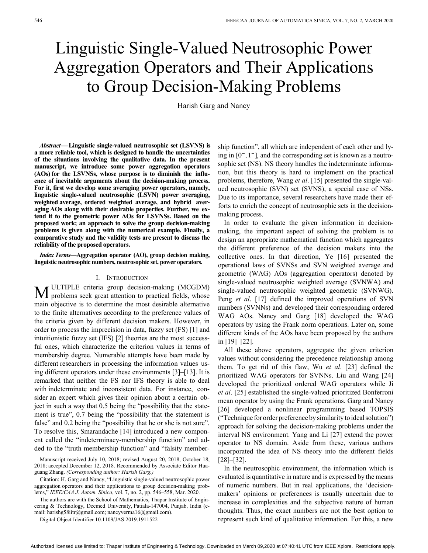# Linguistic Single-Valued Neutrosophic Power Aggregation Operators and Their Applications to Group Decision-Making Problems

Harish Garg and Nancy

 *Abstract—***Linguistic single-valued neutrosophic set (LSVNS) is a more reliable tool, which is designed to handle the uncertainties of the situations involving the qualitative data. In the present manuscript, we introduce some power aggregation operators (AOs) for the LSVNSs, whose purpose is to diminish the influence of inevitable arguments about the decision-making process. For it, first we develop some averaging power operators, namely, linguistic single-valued neutrosophic (LSVN) power averaging, weighted average, ordered weighted average, and hybrid averaging AOs along with their desirable properties. Further, we extend it to the geometric power AOs for LSVNSs. Based on the proposed work; an approach to solve the group decision-making problems is given along with the numerical example. Finally, a comparative study and the validity tests are present to discuss the reliability of the proposed operators.**

 *Index Terms—***Aggregation operator (AO), group decision making, linguistic neutrosophic numbers, neutrosophic set, power operators.**

#### I. Introduction

**M** ULTIPLE criteria group decision-making (MCGDM) problems seek great attention to practical fields, whose ULTIPLE criteria group decision-making (MCGDM) main objective is to determine the most desirable alternative to the finite alternatives according to the preference values of the criteria given by different decision makers. However, in order to process the imprecision in data, fuzzy set (FS) [1] and intuitionistic fuzzy set (IFS) [2] theories are the most successful ones, which characterize the criterion values in terms of membership degree. Numerable attempts have been made by different researchers in processing the information values using different operators under these environments [3]–[13]. It is remarked that neither the FS nor IFS theory is able to deal with indeterminate and inconsistent data. For instance, consider an expert which gives their opinion about a certain object in such a way that 0.5 being the "possibility that the statement is true", 0.7 being the "possibility that the statement is false" and 0.2 being the "possibility that he or she is not sure". To resolve this, Smarandache [14] introduced a new component called the "indeterminacy-membership function" and added to the "truth membership function" and "falsity member-

Manuscript received July 10, 2018; revised August 20, 2018, October 18, 2018; accepted December 12, 2018. Recommended by Associate Editor Huaguang Zhang. *(Corresponding author: Harish Garg.)*

Citation: H. Garg and Nancy, "Linguistic single-valued neutrosophic power aggregation operators and their applications to group decision-making problems," *IEEE/CAA J. Autom. Sinica*, vol. 7, no. 2, pp. 546–558, Mar. 2020.

The authors are with the School of Mathematics, Thapar Institute of Engineering & Technology, Deemed University, Patiala-147004, Punjab, India (email: harishg58iitr@gmail.com; nancyverma16@gmail.com).

Digital Object Identifier 10.1109/JAS.2019.1911522

ing in  $[0^-, 1^+]$ , and the corresponding set is known as a neutroship function", all which are independent of each other and lysophic set (NS). NS theory handles the indeterminate information, but this theory is hard to implement on the practical problems, therefore, Wang *et al*. [15] presented the single-valued neutrosophic (SVN) set (SVNS), a special case of NSs. Due to its importance, several researchers have made their efforts to enrich the concept of neutrosophic sets in the decisionmaking process.

In order to evaluate the given information in decisionmaking, the important aspect of solving the problem is to design an appropriate mathematical function which aggregates the different preference of the decision makers into the collective ones. In that direction, Ye [16] presented the operational laws of SVNSs and SVN weighted average and geometric (WAG) AOs (aggregation operators) denoted by single-valued neutrosophic weighted average (SVNWA) and single-valued neutrosophic weighted geometric (SVNWG). Peng *et al*. [17] defined the improved operations of SVN numbers (SVNNs) and developed their corresponding ordered WAG AOs. Nancy and Garg [18] developed the WAG operators by using the Frank norm operations. Later on, some different kinds of the AOs have been proposed by the authors in [19]–[22].

All these above operators, aggregate the given criterion values without considering the precedence relationship among them. To get rid of this flaw, Wu *et al*. [23] defined the prioritized WAG operators for SVNNs. Liu and Wang [24] developed the prioritized ordered WAG operators while Ji *et al*. [25] established the single-valued prioritized Bonferroni mean operator by using the Frank operations. Garg and Nancy [26] developed a nonlinear programming based TOPSIS ("Technique for order preference by similarity to ideal solution") approach for solving the decision-making problems under the interval NS environment. Yang and Li [27] extend the power operator to NS domain. Aside from these, various authors incorporated the idea of NS theory into the different fields [28]–[32].

In the neutrosophic environment, the information which is evaluated is quantitative in nature and is expressed by the means of numeric numbers. But in real applications, the 'decisionmakers' opinions or preferences is usually uncertain due to increase in complexities and the subjective nature of human thoughts. Thus, the exact numbers are not the best option to represent such kind of qualitative information. For this, a new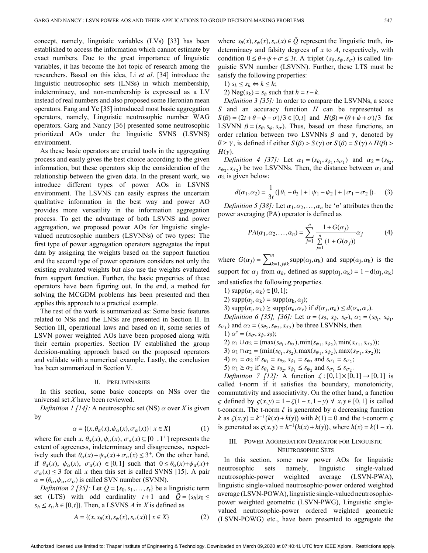concept, namely, linguistic variables (LVs) [33] has been established to access the information which cannot estimate by exact numbers. Due to the great importance of linguistic variables, it has become the hot topic of research among the researchers. Based on this idea, Li *et al*. [34] introduce the linguistic neutrosophic sets (LNSs) in which membership, indeterminacy, and non-membership is expressed as a LV instead of real numbers and also proposed some Heronian mean operators. Fang and Ye [35] introduced most basic aggregation operators, namely, Linguistic neutrosophic number WAG operators. Garg and Nancy [36] presented some neutrosophic prioritized AOs under the linguistic SVNS (LSVNS) environment.

As these basic operators are crucial tools in the aggregating process and easily gives the best choice according to the given information, but these operators skip the consideration of the relationship between the given data. In the present work, we introduce different types of power AOs in LSVNS environment. The LSVNS can easily express the uncertain qualitative information in the best way and power AO provides more versatility in the information aggregation process. To get the advantage of both LSVNS and power aggregation, we proposed power AOs for linguistic singlevalued neutrosophic numbers (LSVNNs) of two types: The first type of power aggregation operators aggregates the input data by assigning the weights based on the support function and the second type of power operators considers not only the existing evaluated weights but also use the weights evaluated from support function. Further, the basic properties of these operators have been figuring out. In the end, a method for solving the MCGDM problems has been presented and then applies this approach to a practical example. *A*), thinguistic validable (*LV*) [33)] has been when  $\mathbf{z}_k(x, t, x, t, t) \in \mathcal{D}$  (*X*),  $\mathbf{z}_k(x)$ ,  $\mathbf{z}_k(x)$ ,  $\mathbf{z}_k(x)$ ,  $\mathbf{z}_k(x)$ ,  $\mathbf{z}_k(x)$ ,  $\mathbf{z}_k(x)$ ,  $\mathbf{z}_k(x)$ ,  $\mathbf{z}_k(x)$ ,  $\mathbf{z}_k(x)$ ,  $\mathbf{z}_k(x)$ ,

The rest of the work is summarized as: Some basic features related to NSs and the LNSs are presented in Section II. In Section III, operational laws and based on it, some series of LSVN power weighted AOs have been proposed along with their certain properties. Section IV established the group decision-making approach based on the proposed operators and validate with a numerical example. Lastly, the conclusion has been summarized in Section V.

#### II. Preliminaries

In this section, some basic concepts on NSs over the universal set *X* have been reviewed.

*Definition 1 [14]:* A neutrosophic set (NS)  $\alpha$  over *X* is given by

$$
\alpha = \{ (x, \theta_{\alpha}(x), \psi_{\alpha}(x), \sigma_{\alpha}(x)) \mid x \in X \}
$$
 (1)

where for each  $x$ ,  $\theta_{\alpha}(x)$ ,  $\psi_{\alpha}(x)$ ,  $\sigma_{\alpha}(x) \subseteq [0, 1^+]$  represents the ively such that  $\theta_{\alpha}(x) + \psi_{\alpha}(x) + \sigma_{\alpha}(x) \leq 3^{+}$ . On the other hand, if  $\theta_{\alpha}(x)$ ,  $\psi_{\alpha}(x)$ ,  $\sigma_{\alpha}(x) \in [0,1]$  such that  $0 \leq \theta_{\alpha}(x) + \psi_{\alpha}(x) + \psi_{\alpha}(x)$  $\sigma_{\alpha}(x) \leq 3$  for all x then this set is called SVNS [15]. A pair  $\alpha = (\theta_{\alpha}, \psi_{\alpha}, \sigma_{\alpha})$  is called SVN number (SVNN). extent of agreeness, indeterminacy and disagreeness, respect-

*Definition 2 [35]*: Let  $Q = \{s_0, s_1, \ldots, s_t\}$  be a linguistic term set (LTS) with odd cardinality  $t+1$  and  $\overline{Q} = \{s_h | s_0 \leq$  $s_h \leq s_t, h \in [0, t]$ . Then, a LSVNS *A* in *X* is defined as

$$
A = \{(x, s_{\theta}(x), s_{\psi}(x), s_{\sigma}(x)) \mid x \in X\}
$$
 (2)

determinacy and falsity degrees of  $x$  to  $A$ , respectively, with condition  $0 \le \theta + \psi + \sigma \le 3t$ . A triplet  $(s_{\theta}, s_{\psi}, s_{\sigma})$  is called linwhere  $s_{\theta}(x)$ ,  $s_{\psi}(x)$ ,  $s_{\sigma}(x) \in \overline{Q}$  represent the linguistic truth, inguistic SVN number (LSVNN). Further, these LTS must be satisfy the following properties:

1)  $s_k \leq s_h \Leftrightarrow k \leq h$ ;

2) Neg( $s_k$ ) =  $s_h$  such that  $h = t - k$ .

 $S(\beta) = (2t + \theta - \psi - \sigma)/3 \in [0, t]$  and  $H(\beta) = (\theta + \psi + \sigma)/3$  for LSVNN  $\beta = (s_{\theta}, s_{\psi}, s_{\sigma})$ . Thus, based on these functions, an order relation between two LSVNNs  $\beta$  and  $\gamma$ , denoted by  $\beta > \gamma$ , is defined if either  $S(\beta) > S(\gamma)$  or  $S(\beta) = S(\gamma) \wedge H(\beta) > \gamma$ *H*(γ) . *Definition 3 [35]:* In order to compare the LSVNNs, a score *S* and an accuracy function *H* can be represented as

*Definition 4 [37]:* Let  $\alpha_1 = (s_{\theta_1}, s_{\psi_1}, s_{\sigma_1})$  and  $\alpha_2 = (s_{\theta_2},$  $s_{\psi_2}, s_{\sigma_2}$ ) be two LSVNNs. Then, the distance between  $\alpha_1$  and  $\alpha_2$  is given below:

$$
d(\alpha_1, \alpha_2) = \frac{1}{3t} (|\theta_1 - \theta_2| + |\psi_1 - \psi_2| + |\sigma_1 - \sigma_2|). \quad (3)
$$

*Definition 5 [38]:* Let  $\alpha_1, \alpha_2, \ldots, \alpha_n$  be '*n*' attributes then the power averaging (PA) operator is defined as

$$
PA(\alpha_1, \alpha_2, ..., \alpha_n) = \sum_{j=1}^n \frac{1 + G(\alpha_j)}{\sum_{j=1}^n (1 + G(\alpha_j))} \alpha_j
$$
 (4)

where  $G(\alpha_j) = \sum_{k=1, j \neq k}^{n} \text{supp}(\alpha_j, \alpha_k)$  and  $\text{supp}(\alpha_j, \alpha_k)$  is the support for  $\alpha_j$  from  $\alpha_k$ , defined as  $supp(\alpha_j, \alpha_k) = 1 - d(\alpha_j, \alpha_k)$ and satisfies the following properties.

- 1) supp $(\alpha_j, \alpha_k) \in [0, 1]$ ;
- 2) supp $(\alpha_j, \alpha_k)$  = supp $(\alpha_k, \alpha_j)$ ;
- 3)  $\text{supp}(\alpha_j, \alpha_k) \geq \text{supp}(\alpha_u, \alpha_v) \text{ if } d(\alpha_j, \alpha_k) \leq d(\alpha_u, \alpha_v).$

*Definition 6 [35], [36]*: Let  $\alpha = (s_{\theta}, s_{\psi}, s_{\sigma}), \alpha_1 = (s_{\theta_1}, s_{\psi_1}, s_{\phi_2})$  $s_{\sigma_1}$ ) and  $\alpha_2 = (s_{\theta_2}, s_{\psi_2}, s_{\sigma_2})$  be three LSVNNs, then

- 1)  $\alpha^c = (s_\sigma, s_\psi, s_\theta);$
- 2)  $\alpha_1 \cup \alpha_2 = (\max(s_{\theta_1}, s_{\theta_2}), \min(s_{\psi_1}, s_{\psi_2}), \min(s_{\sigma_1}, s_{\sigma_2}))$ ;
- 3)  $\alpha_1 \cap \alpha_2 = (\min(s_{\theta_1}, s_{\theta_2}), \max(s_{\psi_1}, s_{\psi_2}), \max(s_{\sigma_1}, s_{\sigma_2}))$ ;
- 4)  $\alpha_1 = \alpha_2$  if  $s_{\theta_1} = s_{\theta_2}, s_{\psi_1} = s_{\psi_2}$  and  $s_{\sigma_1} = s_{\sigma_2}$ ;
- 5)  $\alpha_1 \ge \alpha_2$  if  $s_{\theta_1} \ge s_{\theta_2}$ ,  $s_{\psi_1} \le s_{\psi_2}$  and  $s_{\sigma_1} \le s_{\sigma_2}$ .

*Definition* 7 [12]: A function  $\zeta$ : [0,1]  $\times$  [0,1]  $\rightarrow$  [0,1] is *ς* defined by  $\zeta(x, y) = 1 - \zeta(1 - x, 1 - y)$  ∀  $x, y \in [0, 1]$  is called t-conorm. The t-norm  $\zeta$  is generated by a decreasing function *k* as  $\zeta(x, y) = k^{-1}(k(x) + k(y))$  with  $k(1) = 0$  and the t-conorm  $\zeta$ is generated as  $\varsigma(x, y) = h^{-1}(h(x) + h(y))$ , where  $h(x) = k(1 - x)$ . called t-norm if it satisfies the boundary, monotonicity, commutativity and associativity. On the other hand, a function

# III. Power Aggregation Operator for Linguistic NEUTROSOPHIC SETS

In this section, some new power AOs for linguistic neutrosophic sets namely, linguistic single-valued neutrosophic-power weighted average (LSVN-PWA), linguistic single-valued neutrosophic-power ordered weighted average (LSVN-POWA), linguistic single-valued neutrosophicpower weighted geometric (LSVN-PWG), Linguistic singlevalued neutrosophic-power ordered weighted geometric (LSVN-POWG) etc., have been presented to aggregate the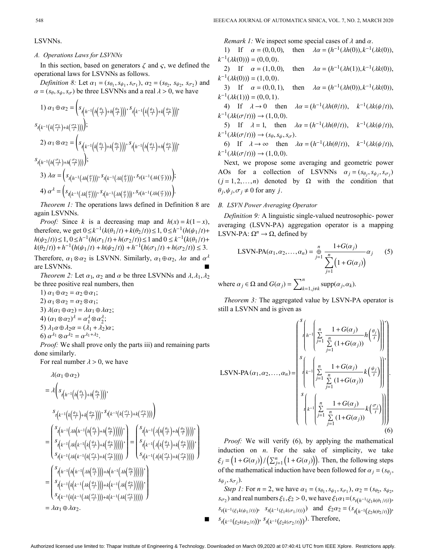# LSVNNs.

# *A. Operations Laws for LSVNNs*

In this section, based on generators  $\zeta$  and  $\zeta$ , we defined the operational laws for LSVNNs as follows.

*Definition 8:* Let  $\alpha_1 = (s_{\theta_1}, s_{\psi_1}, s_{\sigma_1}), \alpha_2 = (s_{\theta_2}, s_{\psi_2}, s_{\sigma_2})$  and  $\alpha = (s_{\theta}, s_{\psi}, s_{\sigma})$  be three LSVNNs and a real  $\lambda > 0$ , we have

1) 
$$
\alpha_1 \oplus \alpha_2 = \left(s_{t\left(h^{-1}\left(h\left(\frac{\theta_1}{t}\right) + h\left(\frac{\theta_2}{t}\right)\right)\right)}, s_{t\left(k^{-1}\left(k\left(\frac{\psi_1}{t}\right) + k\left(\frac{\psi_2}{t}\right)\right)\right)}\right)
$$
  
\n $s_{t\left(k^{-1}\left(k\left(\frac{\sigma_1}{t}\right) + k\left(\frac{\sigma_2}{t}\right)\right)\right)}\right);$   
\n2)  $\alpha_1 \otimes \alpha_2 = \left(s_{t\left(k^{-1}\left(k\left(\frac{\theta_1}{t}\right) + k\left(\frac{\theta_2}{t}\right)\right)\right)}, s_{t\left(h^{-1}\left(h\left(\frac{\psi_1}{t}\right) + h\left(\frac{\psi_2}{t}\right)\right)\right)}\right);$   
\n $s_{t\left(h^{-1}\left(h\left(\frac{\sigma_1}{t}\right) + h\left(\frac{\sigma_2}{t}\right)\right)\right)}\right);$   
\n3)  $\lambda \alpha = \left(s_{t\left(h^{-1}\left(\lambda h\left(\frac{\theta}{t}\right)\right)\right)}, s_{t\left(k^{-1}\left(\lambda k\left(\frac{\psi}{t}\right)\right)\right)}, s_{t\left(k^{-1}\left(\lambda k\left(\frac{\sigma}{t}\right)\right)\right)}\right);$   
\n4)  $\alpha^{\lambda} = \left(s_{t\left(k^{-1}\left(\lambda k\left(\frac{\theta}{t}\right)\right)\right)}, s_{t\left(h^{-1}\left(\lambda h\left(\frac{\psi}{t}\right)\right)\right)}, s_{t\left(h^{-1}\left(\lambda h\left(\frac{\sigma}{t}\right)\right)\right)}\right).$ 

*Theorem 1:* The operations laws defined in Definition 8 are again LSVNNs.

*Proof:* Since k is a decreasing map and  $h(x) = k(1-x)$ , therefore, we get  $0 \le k^{-1} (k(\theta_1/t) + k(\theta_2/t)) \le 1, 0 \le h^{-1}(h(\psi_1/t) +$ *h*( $\psi_2$ /*t*))≤1, 0≤*h*<sup>-1</sup>( $h(\sigma_1/t)$  +  $h(\sigma_2/t)$ )≤1 and 0 ≤  $k^{-1}(k(\theta_1/t) +$  $k(\theta_2/t)$  +  $h^{-1}(h(\psi_1/t) + h(\psi_2/t)) + h^{-1}(h(\sigma_1/t) + h(\sigma_2/t)) \le 3.$ 

Therefore,  $\alpha_1 \otimes \alpha_2$  is LSVNN. Similarly,  $\alpha_1 \oplus \alpha_2$ ,  $\lambda \alpha$  and  $\alpha^{\lambda}$ are LSVNNs.

*Theorem 2:* Let  $\alpha_1$ ,  $\alpha_2$  and  $\alpha$  be three LSVNNs and  $\lambda, \lambda_1, \lambda_2$ be three positive real numbers, then

1)  $\alpha_1 \oplus \alpha_2 = \alpha_2 \oplus \alpha_1;$ 2)  $\alpha_1 \otimes \alpha_2 = \alpha_2 \otimes \alpha_1;$ 3)  $\lambda(\alpha_1 \oplus \alpha_2) = \lambda \alpha_1 \oplus \lambda \alpha_2;$ 4)  $(\alpha_1 \otimes \alpha_2)^{\lambda} = \alpha_1^{\lambda} \otimes \alpha_2^{\lambda}$ ; 5)  $\lambda_1 \alpha \oplus \lambda_2 \alpha = (\lambda_1 + \lambda_2) \alpha;$ 6)  $\alpha^{\lambda_1} \otimes \alpha^{\lambda_2} = \alpha^{\lambda_1 + \lambda_2}$ .

*Proof:* We shall prove only the parts iii) and remaining parts done similarly.

For real number  $\lambda > 0$ , we have

$$
\lambda(\alpha_1 \oplus \alpha_2)
$$
\n
$$
= \lambda \left( s_{t\left(h^{-1}\left(h\left(\frac{\theta_1}{t}\right) + h\left(\frac{\theta_2}{t}\right)\right)\right)},
$$
\n
$$
\left( s_{t\left(k^{-1}\left(\left(k\left(\frac{\theta_1}{t}\right) + k\left(\frac{\theta_2}{t}\right)\right)\right)\right)}, s_{t\left(k^{-1}\left(\left(k\left(\frac{\sigma_1}{t}\right) + k\left(\frac{\sigma_2}{t}\right)\right)\right)\right)} \right)
$$
\n
$$
= \left( \frac{s_{t\left(h^{-1}\left(\lambda h\left(h^{-1}\left(h\left(\frac{\theta_1}{t}\right) + h\left(\frac{\theta_2}{t}\right)\right)\right)\right)\right)}, s_{t\left(k^{-1}\left(\lambda \left(h\left(\frac{\theta_1}{t}\right) + h\left(\frac{\theta_2}{t}\right)\right)\right)\right)} \right)
$$
\n
$$
= \left( \frac{s_{t\left(h^{-1}\left(\lambda k\left(k^{-1}\left(k\left(\frac{\theta_1}{t}\right) + k\left(\frac{\theta_2}{t}\right)\right)\right)\right)\right)}, s_{t\left(k^{-1}\left(\lambda \left(k\left(\frac{\theta_1}{t}\right) + k\left(\frac{\theta_2}{t}\right)\right)\right)\right)} \right)
$$
\n
$$
= \left( \frac{s_{t\left(h^{-1}\left(\lambda k\left(k^{-1}\left(\lambda k\left(\frac{\theta_1}{t}\right)\right)\right) + h\left(h^{-1}\left(\lambda h\left(\frac{\theta_2}{t}\right)\right)\right)\right)\right)} \right)
$$
\n
$$
= \left( \frac{s_{t\left(h^{-1}\left(\lambda k\left(\frac{\theta_1}{t}\right)\right)\right) + h\left(h^{-1}\left(\lambda h\left(\frac{\theta_2}{t}\right)\right)\right)\right)} \right)
$$
\n
$$
= \left( s_{t\left(k^{-1}\left(\lambda \left(k^{-1}\left(\lambda k\left(\frac{\theta_1}{t}\right)\right)\right) + k\left(k^{-1}\left(\lambda k\left(\frac{\theta_2}{t}\right)\right)\right)\right) \right)
$$
\n
$$
= \lambda \alpha_1 \oplus \lambda \alpha_2.
$$

*Remark 1:* We inspect some special cases of  $\lambda$  and  $\alpha$ .

1) If  $\alpha = (0, 0, 0)$ , then  $\lambda \alpha = (h^{-1}(\lambda h(0)), k^{-1}(\lambda k(0)),$  $k^{-1}(\lambda k(0))$  = (0,0,0).

2) If  $\alpha = (1,0,0)$ , 2) If  $\alpha = (1, 0, 0)$ , then  $\lambda \alpha = (h^{-1}(\lambda h(1)), k^{-1}(\lambda k(0))),$  $k^{-1}(\lambda k(0)) = (1,0,0).$ 

3) If  $\alpha = (0, 0, 1)$ , then  $\lambda \alpha = (h^{-1}(\lambda h(0)), k^{-1}(\lambda k(0)),$  $k^{-1}(\lambda k(1))$  = (0,0,1).

4) If  $\lambda \to 0$  then  $\lambda \alpha = (h^{-1}(\lambda h(\theta/t)), k^{-1}(\lambda k(\psi/t))),$  $k^{-1}(\lambda k(\sigma/t))) \rightarrow (1,0,0).$ 

5) If 
$$
\lambda = 1
$$
, then  $\lambda \alpha = (h^{-1}(\lambda h(\theta/t)), k^{-1}(\lambda k(\psi/t)),$   
 $k^{-1}(\lambda k(\sigma/t))) \rightarrow (s_{\theta}, s_{\psi}, s_{\sigma}).$ 

6) If  $\lambda \to \infty$  then  $\lambda \alpha = (h^{-1}(\lambda h(\theta/t)), k^{-1}(\lambda k(\psi/t))),$  $k^{-1}(\lambda k(\sigma/t))) \rightarrow (1,0,0).$ 

AOs for a collection of LSVNNs  $\alpha_j = (s_{\theta_j}, s_{\psi_j}, s_{\sigma_j})$  $(j = 1, 2, ..., n)$  denoted by  $\Omega$  with the condition that  $\theta_j, \psi_j, \sigma_j \neq 0$  for any *j*. Next, we propose some averaging and geometric power

## *B. LSVN Power Averaging Operator*

LSVN-PA:  $\Omega^n \to \Omega$ , defined by *Definition 9:* A linguistic single-valued neutrosophic- power averaging (LSVN-PA) aggregation operator is a mapping

LSVN-PA(
$$
\alpha_1, \alpha_2, ..., \alpha_n
$$
) =  $\underset{j=1}{\overset{n}{\oplus}} \frac{1+G(\alpha_j)}{\sum_{j=1}^n (1+G(\alpha_j))} \alpha_j$  (5)

where  $\alpha_j \in \Omega$  and  $G(\alpha_j) = \sum_{k=1, j \neq k}^{n} \text{supp}(\alpha_j, \alpha_k)$ .

*Theorem 3:* The aggregated value by LSVN-PA operator is still a LSVNN and is given as

$$
\text{LSVN-PA}(\alpha_1, \alpha_2, \dots, \alpha_n) = \begin{pmatrix} s \binom{n}{n-1} \sum_{j=1}^n \frac{1 + G(\alpha_j)}{\sum_{j=1}^n (1 + G(\alpha_j))} h\left(\frac{\theta_j}{t}\right) \\ \sum_{j=1}^n \frac{1}{\sum_{j=1}^n (1 + G(\alpha_j))} k\left(\frac{\psi_j}{t}\right) \\ \sum_{j=1}^n \frac{1 + G(\alpha_j)}{\sum_{j=1}^n (1 + G(\alpha_j))} k\left(\frac{\phi_j}{t}\right) \\ \sum_{j=1}^n \frac{1 + G(\alpha_j)}{\sum_{j=1}^n (1 + G(\alpha_j))} k\left(\frac{\sigma_j}{t}\right) \\ \vdots \tag{6}
$$

induction on  $n$ . For the sake of simplicity, we take  $\xi_j = (1 + G(\alpha_j)) / (\sum_{j=1}^n (1 + G(\alpha_j)))$ . Then, the following steps of the mathematical induction have been followed for  $\alpha_j = (s_{\theta_j},$  $s_{\psi_j}, s_{\sigma_j}$ ). *Proof:* We will verify (6), by applying the mathematical

*Step 1:* For  $n = 2$ , we have  $\alpha_1 = (s_{\theta_1}, s_{\psi_1}, s_{\sigma_1}), \alpha_2 = (s_{\theta_2}, s_{\psi_2}, s_{\phi_2})$  $s_{\sigma_2}$ ) and real numbers  $\xi_1, \xi_2 > 0$ , we have  $\xi_1 \alpha_1 = (s_{t(h^{-1}(\xi_1 h(\theta_1 / t)))})$ .  $s_t(k^{-1}(\xi_1 k(\psi_1/t)))$ ,  $s_t(k^{-1}(\xi_1 k(\sigma_1/t)))$ ) and  $\xi_2 \alpha_2 = (s_{t(h^{-1}(\xi_2 h(\theta_2/t)))})$ *s*<sub>*t*</sub>( $_{k-1}$ ( $\xi_2$ *k*( $\psi_2$ /*t*)))</sub>, *s*<sub>*t*( $_{k-1}$ ( $\xi_2$ *k*( $\sigma_2$ /*t*)))). Therefore,</sub>

■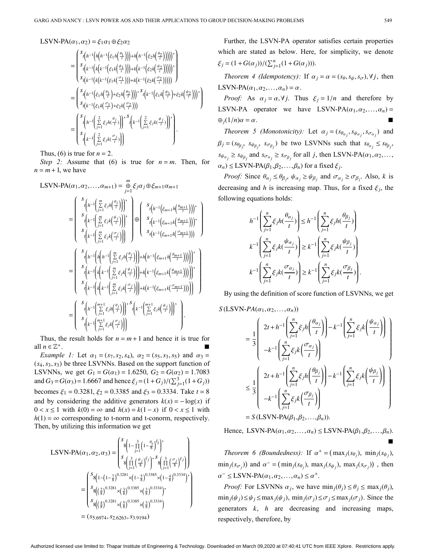LSVN-PA $(\alpha_1, \alpha_2) = \xi_1 \alpha_1 \oplus \xi_2 \alpha_2$ 

$$
= \begin{pmatrix} s_{t}\left(h^{-1}\left(h\left(h^{-1}\left(\xi_{1}h\left(\frac{\theta_{1}}{t}\right)\right)\right)+h\left(h^{-1}\left(\xi_{2}h\left(\frac{\theta_{2}}{t}\right)\right)\right)\right)\right) \\ s_{t}\left(k^{-1}\left(k\left(k^{-1}\left(\xi_{1}k\left(\frac{\theta_{1}}{t}\right)\right)\right)+k\left(k^{-1}\left(\xi_{2}k\left(\frac{\theta_{2}}{t}\right)\right)\right)\right)\right) \\ s_{t}\left(k^{-1}\left(k\left(k^{-1}\left(\xi_{1}k\left(\frac{\theta_{1}}{t}\right)\right)\right)+k\left(k^{-1}\left(\xi_{2}k\left(\frac{\theta_{2}}{t}\right)\right)\right)\right)\right) \\ = \begin{pmatrix} s_{t}\left(h^{-1}\left(\xi_{1}h\left(\frac{\theta_{1}}{t}\right)+\xi_{2}h\left(\frac{\theta_{2}}{t}\right)\right)\right) & s_{t}\left(k^{-1}\left(\xi_{1}k\left(\frac{\theta_{1}}{t}\right)+\xi_{2}k\left(\frac{\theta_{2}}{t}\right)\right)\right) \\ s_{t}\left(k^{-1}\left(\xi_{1}k\left(\frac{\theta_{1}}{t}\right)+\xi_{2}k\left(\frac{\theta_{2}}{t}\right)\right)\right) & s_{t}\left(k^{-1}\left(\xi_{1}k\left(\frac{\theta_{1}}{t}\right)+\xi_{2}k\left(\frac{\theta_{2}}{t}\right)\right)\right) \\ s_{t}\left(k^{-1}\left(\frac{2}{t^{-1}}\xi_{1}h\left(\frac{\theta_{1}}{t}\right)\right)\right) & s_{t}\left(k^{-1}\left(\frac{2}{t^{-1}}\xi_{1}k\left(\frac{\theta_{1}}{t}\right)\right)\right) \\ s_{t}\left(k^{-1}\left(\frac{2}{t^{-1}}\xi_{1}k\left(\frac{\theta_{1}}{t}\right)\right)\right) & s_{t}\left(k^{-1}\left(\frac{2}{t^{-1}}\xi_{1}k\left(\frac{\theta_{1}}{t}\right)\right)\right) \end{pmatrix}.
$$

Thus, (6) is true for  $n = 2$ .

*Step 2:* Assume that (6) is true for  $n = m$ . Then, for  $n = m + 1$ , we have

$$
LSVN-PA(\alpha_1, \alpha_2, ..., \alpha_{m+1}) = \frac{m}{j-1} \xi_j \alpha_j \oplus \xi_{m+1} \alpha_{m+1}
$$
\n
$$
= \begin{pmatrix}\ns_{\{h^{-1}\left(\sum_{j=1}^m \xi_j h(\frac{\theta_j}{t})\right)\}}^s, & s_{\{h^{-1}\left(\xi_{m+1} h(\frac{\theta_{m+1}}{t})\right)\}}^s, \\
s_{\{k^{-1}\left(\sum_{j=1}^m \xi_j k(\frac{\theta_j}{t})\right)\}}^s, & s_{\{k^{-1}\left(\xi_{m+1} k(\frac{\theta_{m+1}}{t})\right)\}}^s, \\
s_{\{k^{-1}\left(\sum_{j=1}^m \xi_j k(\frac{\theta_j}{t})\right)\}}^s, & s_{\{k^{-1}\left(\xi_{m+1} k(\frac{\theta_{m+1}}{t})\right)\}}^s, \\
s_{\{k^{-1}\left(\sum_{j=1}^m \xi_j h(\frac{\theta_j}{t})\right)\}}^s + h(h^{-1}(\xi_{m+1} h(\frac{\theta_{m+1}}{t})))])^s, \\
s_{\{k^{-1}\left(k\left(k^{-1}\left(\sum_{j=1}^m \xi_j k(\frac{\theta_j}{t})\right)\right)+k\left(k^{-1}\left(\xi_{m+1} k(\frac{\theta_{m+1}}{t})\right)\right)\right)\}}^s, & s_{\{k^{-1}\left(k\left(k^{-1}\left(\sum_{j=1}^m \xi_j k(\frac{\theta_j}{t})\right)\right)+k\left(k^{-1}(\xi_{m+1} k(\frac{\theta_{m+1}}{t}))\right)\right)\}}^s, \\
s_{\{k^{-1}\left(\sum_{j=1}^m \xi_j h(\frac{\theta_j}{t})\right)\}}^s, & s_{\{k^{-1}\left(\sum_{j=1}^m \xi_j k(\frac{\theta_j}{t})\right)\}}^s, & s_{\{k^{-1}\left(\sum_{j=1}^m \xi_j k(\frac{\theta_j}{t})\right)\}}^s.\n\end{pmatrix}
$$

Thus, the result holds for  $n = m + 1$  and hence it is true for all  $n \in \mathbb{Z}^+$ .

*Example 1:* Let  $\alpha_1 = (s_7, s_2, s_4), \ \alpha_2 = (s_5, s_3, s_5)$  and  $\alpha_3 =$ (*s*4,*s*3,*s*3) be three LSVNNs. Based on the support function of *LSVNNs*, we get  $G_1 = G(\alpha_1) = 1.6250$ ,  $G_2 = G(\alpha_2) = 1.7083$ and  $G_3 = G(\alpha_3) = 1.6667$  and hence  $\xi_j = (1 + G_j)/(\sum_{j=1}^3 (1 + G_j))$ becomes  $\xi_1 = 0.3281$ ,  $\xi_2 = 0.3385$  and  $\xi_3 = 0.3334$ . Take  $t = 8$ and by considering the additive generators  $k(x) = -\log(x)$  if 0 < *x* ≤ 1 with  $k(0) = \infty$  and  $h(x) = k(1-x)$  if  $0 < x \le 1$  with  $h(1) = \infty$  corresponding to t-norm and t-conorm, respectively. Then, by utilizing this information we get

$$
LSVN-PA(\alpha_1, \alpha_2, \alpha_3) = \begin{pmatrix} s \ s \left( 1 - \prod_{j=1}^3 \left( 1 - \frac{\theta_j}{8} \right)^{\xi_j} \right) \\ s \left( \prod_{j=1}^3 \left( \frac{\psi_j}{8} \right)^{\xi_j} \right) \end{pmatrix} s \begin{pmatrix} 3 \\ \prod_{j=1}^3 \left( \frac{\sigma_j}{8} \right)^{\xi_j} \end{pmatrix}
$$

$$
= \begin{pmatrix} s \ s \left( 1 - \left( 1 - \frac{7}{8} \right)^{0.3281} \times \left( 1 - \frac{5}{8} \right)^{0.3385} \times \left( 1 - \frac{4}{8} \right)^{0.3334} \right) \\ s \left( \frac{2}{8} \right)^{0.3281} \times \left( \frac{3}{8} \right)^{0.3385} \times \left( \frac{3}{8} \right)^{0.3334} \end{pmatrix},
$$

$$
= (s \cdot 5.6974, s \cdot 2.6263, s \cdot 3.9194)
$$

 $\xi_j = (1 + G(\alpha_j)) / (\sum_{j=1}^n (1 + G(\alpha_j))).$ Further, the LSVN-PA operator satisfies certain properties which are stated as below. Here, for simplicity, we denote

*Theorem 4 (Idempotency):* If  $\alpha_j = \alpha = (s_\theta, s_\psi, s_\sigma)$ ,  $\forall j$ , then LSVN-PA $(\alpha_1, \alpha_2, \ldots, \alpha_n) = \alpha$ .

*Proof:* As  $\alpha_j = \alpha, \forall j$ . Thus  $\xi_j = 1/n$  and therefore by LSVN-PA operator we have LSVN-PA $(\alpha_1, \alpha_2,..., \alpha_n)$  =  $\bigoplus_i (1/n) \alpha = \alpha$ . . ■

*Theorem 5 (Monotonicity):* Let  $\alpha_j = (s_{\theta_{\alpha_j}}, s_{\psi_{\alpha_j}}, s_{\sigma_{\alpha_j}})$  and  $\beta_j = (s_{\theta_{\beta_j}}, s_{\psi_{\beta_j}}, s_{\sigma_{\beta_j}})$  be two LSVNNs such that  $s_{\theta_{\alpha_j}} \leq s_{\theta_{\beta_j}},$  $s_{\psi_{\alpha_j}} \geq s_{\psi_{\beta_j}}$  and  $s_{\sigma_{\alpha_j}} \geq s_{\sigma_{\beta_j}}$  for all *j*, then LSVN-PA( $\alpha_1, \alpha_2, \ldots,$  $\alpha_n$ )  $\leq$  LSVN-PA( $\beta_1, \beta_2, ..., \beta_n$ ) for a fixed  $\xi_j$ .

*Proof:* Since  $\theta_{\alpha_j} \leq \theta_{\beta_j}$ ,  $\psi_{\alpha_j} \geq \psi_{\beta_j}$  and  $\sigma_{\alpha_j} \geq \sigma_{\beta_j}$ . Also, k is decreasing and h is increasing map. Thus, for a fixed  $\xi_j$ , the following equations holds:

$$
h^{-1}\left(\sum_{j=1}^{n} \xi_j h(\frac{\theta_{\alpha_j}}{t})\right) \leq h^{-1}\left(\sum_{j=1}^{n} \xi_j h(\frac{\theta_{\beta_j}}{t})\right)
$$

$$
k^{-1}\left(\sum_{j=1}^{n} \xi_j k(\frac{\psi_{\alpha_j}}{t})\right) \geq k^{-1}\left(\sum_{j=1}^{n} \xi_j k(\frac{\psi_{\beta_j}}{t})\right)
$$

$$
k^{-1}\left(\sum_{j=1}^{n} \xi_j k(\frac{\sigma_{\alpha_j}}{t})\right) \geq k^{-1}\left(\sum_{j=1}^{n} \xi_j k(\frac{\sigma_{\beta_j}}{t})\right)
$$

By using the definition of score function of LSVNNs, we get

.

$$
S(\text{LSVN-PA}(\alpha_1, \alpha_2, ..., \alpha_n))
$$
  
=  $\frac{1}{3}$   $\begin{pmatrix} 2t + h^{-1} \left( \sum_{j=1}^n \xi_j h\left(\frac{\theta_{\alpha_j}}{t} \right) \right) - k^{-1} \left( \sum_{j=1}^n \xi_j k\left(\frac{\psi_{\alpha_j}}{t} \right) \right) \\ - k^{-1} \left( \sum_{j=1}^n \xi_j k\left(\frac{\sigma_{\alpha_j}}{t} \right) \right) \\ - k^{-1} \left( \sum_{j=1}^n \xi_j h\left(\frac{\theta_{\beta_j}}{t} \right) \right) - k^{-1} \left( \sum_{j=1}^n \xi_j k\left(\frac{\psi_{\beta_j}}{t} \right) \right) \\ - k^{-1} \left( \sum_{j=1}^n \xi_j k\left(\frac{\sigma_{\beta_j}}{t} \right) \right) \\ - k^{-1} \left( \sum_{j=1}^n \xi_j k\left(\frac{\sigma_{\beta_j}}{t} \right) \right) \\ = S(\text{LSVN-PA}(\beta_1, \beta_2, ..., \beta_n)). \end{pmatrix}$ 

Hence, LSVN-PA( $\alpha_1, \alpha_2, ..., \alpha_n$ )  $\leq$  LSVN-PA( $\beta_1, \beta_2, ..., \beta_n$ ). ■

*Theorem 6 (Boundedness)*: If  $\alpha^+ = (\max_j(s_{\theta_j}), \min_j(s_{\psi_j}),$  $\min_j(s_{\sigma_j})$  and  $\alpha^- = (\min_j(s_{\theta_j}), \max_j(s_{\psi_j}), \max_j(s_{\sigma_j}))$ , then  $\alpha^- \leq \text{LSVN-PA}(\alpha_1, \alpha_2, ..., \alpha_n) \leq \alpha^+$ .

*Proof:* For LSVNNs  $\alpha_j$ , we have  $\min_j(\theta_j) \leq \theta_j \leq \max_j(\theta_j)$ ,  $\min_j(\psi_j) \leq \psi_j \leq \max_j(\psi_j)$ ,  $\min_j(\sigma_j) \leq \sigma_j \leq \max_j(\sigma_j)$ . Since the generators  $k$ ,  $h$  are decreasing and increasing maps, respectively, therefore, by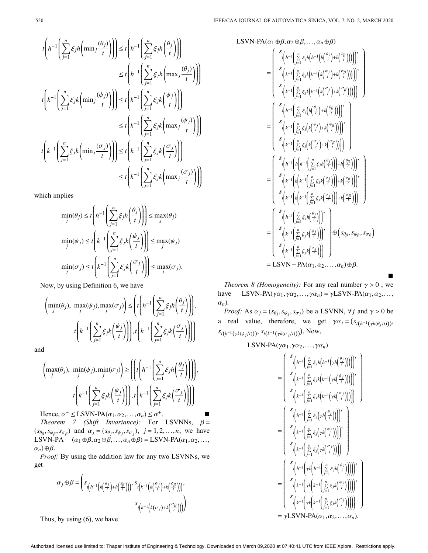$$
t\left(h^{-1}\left(\sum_{j=1}^{n} \xi_{j}h\left(\min_{j} \frac{(\theta_{j})}{t}\right)\right)\right) \leq t\left(h^{-1}\left(\sum_{j=1}^{n} \xi_{j}h\left(\frac{\theta_{j}}{t}\right)\right)\right)
$$
  

$$
\leq t\left(h^{-1}\left(\sum_{j=1}^{n} \xi_{j}h\left(\max_{j} \frac{(\theta_{j})}{t}\right)\right)\right)
$$
  

$$
t\left(k^{-1}\left(\sum_{j=1}^{n} \xi_{j}k\left(\min_{j} \frac{(\psi_{j})}{t}\right)\right)\right) \leq t\left(k^{-1}\left(\sum_{j=1}^{n} \xi_{j}k\left(\frac{\psi_{j}}{t}\right)\right)\right)
$$
  

$$
\leq t\left(k^{-1}\left(\sum_{j=1}^{n} \xi_{j}k\left(\max_{j} \frac{(\psi_{j})}{t}\right)\right)\right)
$$
  

$$
t\left(k^{-1}\left(\sum_{j=1}^{n} \xi_{j}k\left(\min_{j} \frac{(\sigma_{j})}{t}\right)\right)\right) \leq t\left(k^{-1}\left(\sum_{j=1}^{n} \xi_{j}k\left(\frac{\sigma_{j}}{t}\right)\right)\right)
$$
  

$$
\leq t\left(k^{-1}\left(\sum_{j=1}^{n} \xi_{j}k\left(\max_{j} \frac{(\sigma_{j})}{t}\right)\right)\right)
$$

which implies

$$
\min_{j}(\theta_{j}) \leq t \left( h^{-1} \left( \sum_{j=1}^{n} \xi_{j} h \left( \frac{\theta_{j}}{t} \right) \right) \right) \leq \max_{j}(\theta_{j})
$$
\n
$$
\min_{j}(\psi_{j}) \leq t \left( k^{-1} \left( \sum_{j=1}^{n} \xi_{j} k \left( \frac{\psi_{j}}{t} \right) \right) \right) \leq \max_{j}(\psi_{j})
$$
\n
$$
\min_{j}(\sigma_{j}) \leq t \left( k^{-1} \left( \sum_{j=1}^{n} \xi_{j} k \left( \frac{\sigma_{j}}{t} \right) \right) \right) \leq \max_{j}(\sigma_{j}).
$$

Now, by using Definition 6, we have

$$
\left(\min_{j}(\theta_{j}), \max_{j}(\psi_{j}), \max_{j}(\sigma_{j})\right) \leq \left(t\left(h^{-1}\left(\sum_{j=1}^{n} \xi_{j} h\left(\frac{\theta_{j}}{t}\right)\right)\right), \left(t\left(k^{-1}\left(\sum_{j=1}^{n} \xi_{j} k\left(\frac{\psi_{j}}{t}\right)\right)\right)\right), t\left(k^{-1}\left(\sum_{j=1}^{n} \xi_{j} k\left(\frac{\sigma_{j}}{t}\right)\right)\right)\right)
$$

and

$$
\left(\max_{j}(\theta_{j}), \min_{j}(\psi_{j}), \min_{j}(\sigma_{j})\right) \geq \left(\left(t\left(h^{-1}\left(\sum_{j=1}^{n} \xi_{j} h\left(\frac{\theta_{j}}{t}\right)\right)\right)\right), \left(t\left(k^{-1}\left(\sum_{j=1}^{n} \xi_{j} k\left(\frac{\sigma_{j}}{t}\right)\right)\right)\right), \left(t\left(k^{-1}\left(\sum_{j=1}^{n} \xi_{j} k\left(\frac{\sigma_{j}}{t}\right)\right)\right)\right)\right)
$$

Hence,  $\alpha^- \leq \text{LSVN-PA}(\alpha_1, \alpha_2, ..., \alpha_n) \leq \alpha^+$ .

*Theorem 7 (Shift Invariance):* For LSVNNs,  $\beta =$  $(s_{\theta\beta}, s_{\psi\beta}, s_{\sigma\beta})$  and  $\alpha_j = (s_{\theta_j}, s_{\psi_j}, s_{\sigma_j}), j = 1, 2, \dots, n$ , we have LSVN-PA  $(\alpha_1 \oplus \beta, \alpha_2 \oplus \beta, \ldots, \alpha_n \oplus \beta) =$ LSVN-PA $(\alpha_1, \alpha_2, \ldots, \alpha_n)$  $\alpha_n$ ) $\oplus \beta$ .

*Proof:* By using the addition law for any two LSVNNs, we get

$$
\alpha_j \oplus \beta = \left( s_{t\left(h^{-1}\left(h\left(\frac{\theta_j}{t}\right) + h\left(\frac{\theta_\beta}{t}\right)\right)\right)}, s_{t\left(k^{-1}\left(k\left(\frac{\psi_j}{t}\right) + k\left(\frac{\psi_\beta}{t}\right)\right)\right)}, s_{t\left(k^{-1}\left(k(\sigma_j) + k\left(\frac{\sigma_\beta}{t}\right)\right)\right)} \right)
$$

Thus, by using (6), we have

LSVN-PA( $\alpha_1 \oplus \beta$ ,  $\alpha_2 \oplus \beta$ , ...,  $\alpha_n \oplus \beta$ )

$$
\begin{split}\n&= \begin{pmatrix}\nS_{\left(h^{-1}\left(\sum_{j=1}^{n} \xi_{j}h\left(h^{-1}\left(h\left(\frac{\theta_{j}}{t}\right) + h\left(\frac{\theta_{\beta}}{t}\right)\right)\right)\right)\right)} \\
S_{\left(k^{-1}\left(\sum_{j=1}^{n} \xi_{j}k\left(k^{-1}\left(k\left(\frac{\psi_{j}}{t}\right) + k\left(\frac{\psi_{\beta}}{t}\right)\right)\right)\right)\right)} \\
S_{\left(k^{-1}\left(\sum_{j=1}^{n} \xi_{j}k\left(k^{-1}\left(k\left(\frac{\sigma_{j}}{t}\right) + k\left(\frac{\sigma_{\beta}}{t}\right)\right)\right)\right)\right)} \\
S_{\left(h^{-1}\left(\sum_{j=1}^{n} \xi_{j}k\left(k^{-1}\left(k\left(\frac{\sigma_{j}}{t}\right) + k\left(\frac{\sigma_{\beta}}{t}\right)\right)\right)\right)\right)} \\
S_{\left(h^{-1}\left(\sum_{j=1}^{n} \xi_{j}\left(k\left(\frac{\psi_{j}}{t}\right) + k\left(\frac{\psi_{\beta}}{t}\right)\right)\right)\right)} \\
S_{\left(k^{-1}\left(\sum_{j=1}^{n} \xi_{j}\left(k\left(\frac{\sigma_{j}}{t}\right) + k\left(\frac{\sigma_{\beta}}{t}\right)\right)\right)\right)} \\
S_{\left(h^{-1}\left(h\left(h^{-1}\left(\sum_{j=1}^{n} \xi_{j}h\left(\frac{\theta_{j}}{t}\right)\right)\right) + h\left(\frac{\theta_{\beta}}{t}\right)\right)\right)} \\
S_{\left(k^{-1}\left(k\left(k^{-1}\left(\sum_{j=1}^{n} \xi_{j}k\left(\frac{\sigma_{j}}{t}\right)\right)\right) + k\left(\frac{\psi_{\beta}}{t}\right)\right)\right)} \\
S_{\left(k^{-1}\left(k\left(k^{-1}\left(\sum_{j=1}^{n} \xi_{j}k\left(\frac{\sigma_{j}}{t}\right)\right)\right)\right)}\n\end{pmatrix} \\
S_{\left(h^{-1}\left(\sum_{j=1}^{n} \xi_{j}k\left(\frac{\psi_{j}}{t}\right)\right)\right)}\n\end{split}
$$

*Theorem 8 (Homogeneity):* For any real number  $\gamma > 0$ , we LSVN-PA( $\gamma \alpha_1, \gamma \alpha_2, \ldots, \gamma \alpha_n$ ) =  $\gamma$ LSVN-PA( $\alpha_1, \alpha_2, \ldots,$ α*n*) . have

■

*Proof:* As  $\alpha_j = (s_{\theta_j}, s_{\psi_j}, s_{\sigma_j})$  be a LSVNN,  $\forall j$  and  $\gamma > 0$  be a real value, therefore, we get  $\gamma \alpha_j = (s_{t(h^{-1}(\gamma h(\theta_j/t)))},$ *s*<sub>*t*</sub>(*k*<sup>-1</sup>(γ*k*( $\psi_j$ /*t*)))</sub>, *s*<sub>*t*(*k*<sup>-1</sup>(γ*k*( $\sigma_j$ /*t*)))</sub>). Now,

LSVN-PA( $\gamma \alpha_1, \gamma \alpha_2, \ldots, \gamma \alpha_n$ )

$$
= \begin{pmatrix}\ns_{\left(h^{-1}\left(\sum_{j=1}^{n}\xi_{j}h\left(h^{-1}\left(\gamma h\left(\frac{\theta_{j}}{t}\right)\right)\right)\right)}\n\end{pmatrix}, \\
\begin{aligned}\ns_{\left(k^{-1}\left(\sum_{j=1}^{n}\xi_{j}k\left(k^{-1}\left(\gamma k\left(\frac{\theta_{j}}{t}\right)\right)\right)\right)}\n\end{aligned}, \\
\begin{aligned}\ns_{\left(k^{-1}\left(\sum_{j=1}^{n}\xi_{j}k\left(k^{-1}\left(\gamma k\left(\frac{\theta_{j}}{t}\right)\right)\right)\right)}\n\end{aligned}, \\
\begin{aligned}\ns_{\left(k^{-1}\left(\sum_{j=1}^{n}\xi_{j}k\left(k^{-1}\left(\gamma k\left(\frac{\theta_{j}}{t}\right)\right)\right)\right)}\n\end{aligned}, \\
\begin{aligned}\ns_{\left(k^{-1}\left(\sum_{j=1}^{n}\xi_{j}\left(\gamma k\left(\frac{\theta_{j}}{t}\right)\right)\right)\right)}\n\end{aligned}, \\
\begin{aligned}\ns_{\left(k^{-1}\left(\sum_{j=1}^{n}\xi_{j}\left(\gamma k\left(\frac{\theta_{j}}{t}\right)\right)\right)\right)}\n\end{aligned}, \\
\begin{aligned}\ns_{\left(k^{-1}\left(\gamma h\left(h^{-1}\left(\sum_{j=1}^{n}\xi_{j}h\left(\frac{\theta_{j}}{t}\right)\right)\right)\right)}\n\end{aligned}, \\
\begin{aligned}\ns_{\left(k^{-1}\left(\gamma k\left(k^{-1}\left(\sum_{j=1}^{n}\xi_{j}k\left(\frac{\theta_{j}}{t}\right)\right)\right)\right)}\n\end{aligned}, \\
\begin{aligned}\ns_{\left(k^{-1}\left(\gamma k\left(k^{-1}\left(\sum_{j=1}^{n}\xi_{j}k\left(\frac{\theta_{j}}{t}\right)\right)\right)\right)}\n\end{aligned}, \\
\begin{aligned}\ns_{\left(k^{-1}\left(\gamma k\left(k^{-1}\left(\sum_{j=1}^{n}\xi_{j}k\left(\frac{\theta_{j}}{t}\right)\right)\right)\right)}\n\end{aligned}, \\
\begin{aligned}\ns_{\left(k^{-1}\left(\gamma k\left(k^{-1}\left(\sum_{j=1}^{n}\xi_{j}k\left(\frac{\theta_{j}}{t}\right)\right)\right)\right)}\n\end{aligned}, \\
\begin{aligned}\ns_{\left(k^{-1}\left(\sum_{j=1}^{n}\xi_{j}k\left(\frac
$$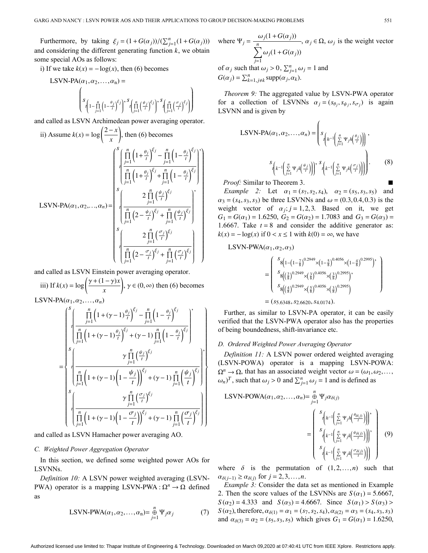Furthermore, by taking  $\xi_j = (1 + G(\alpha_j)) / (\sum_{j=1}^n (1 + G(\alpha_j)))$ and considering the different generating function  $k$ , we obtain some special AOs as follows:

i) If we take  $k(x) = -\log(x)$ , then (6) becomes

$$
LSVN-PA(\alpha_1, \alpha_2, ..., \alpha_n) =
$$
  

$$
\left\{ s_{\left(1 - \prod_{j=1}^n \left(1 - \frac{\theta_j}{t}\right)^{\xi_j}\right)}, s_{\left(\prod_{j=1}^n \left(\frac{\theta_j}{t}\right)^{\xi_j}\right)}, s_{\left(\prod_{j=1}^n \left(\frac{\sigma_j}{t}\right)^{\xi_j}\right)} \right\}
$$

and called as LSVN Archimedean power averaging operator.

ii) Assume 
$$
k(x) = \log \left( \frac{2-x}{x} \right)
$$
, then (6) becomes  
\n
$$
\int_{1}^{S} \left( \frac{\prod_{j=1}^{n} \left( 1 + \frac{\theta_{j}}{t} \right)^{\xi_{j}} - \prod_{j=1}^{n} \left( 1 - \frac{\theta_{j}}{t} \right)^{\xi_{j}}}{\prod_{j=1}^{n} \left( 1 + \frac{\theta_{j}}{t} \right)^{\xi_{j}} + \prod_{j=1}^{n} \left( 1 - \frac{\theta_{j}}{t} \right)^{\xi_{j}} \right)}
$$
\nLSVN-PA $(\alpha_{1}, \alpha_{2}, ..., \alpha_{n}) = \begin{bmatrix} \sum_{j=1}^{n} \left( \frac{\psi_{j}}{t} \right)^{\xi_{j}} \\ \prod_{j=1}^{n} \left( 2 - \frac{\psi_{j}}{t} \right)^{\xi_{j}} + \prod_{j=1}^{n} \left( \frac{\psi_{j}}{t} \right)^{\xi_{j}} \\ \sum_{j=1}^{n} \left( \frac{2 \prod_{j=1}^{n} \left( \frac{\sigma_{j}}{t} \right)^{\xi_{j}}}{\prod_{j=1}^{n} \left( 2 - \frac{\sigma_{j}}{t} \right)^{\xi_{j}} + \prod_{j=1}^{n} \left( \frac{\sigma_{j}}{t} \right)^{\xi_{j}} \end{bmatrix}$ 

and called as LSVN Einstein power averaging operator.

 $k(x) = \log\left(\frac{\gamma + (1 - \gamma)x}{\gamma}\right)$ *x* iii) If  $k(x) = \log \left( \frac{\gamma + (1 - \gamma)x}{\gamma} \right)$ ,  $\gamma \in (0, \infty)$  then (6) becomes LSVN-PA $(\alpha_1, \alpha_2, \ldots, \alpha_n)$ 

$$
\begin{split} &\left\{\int\limits_{j=1}^{s}\left(\frac{\prod\limits_{j=1}^{n}\left(1+(\gamma-1)\frac{\theta_{j}}{t}\right)^{\xi_{j}}-\prod\limits_{j=1}^{n}\left(1-\frac{\theta_{j}}{t}\right)^{\xi_{j}}}{\prod\limits_{j=1}^{n}\left(1+(\gamma-1)\frac{\theta_{j}}{t}\right)^{\xi_{j}}+(\gamma-1)\prod\limits_{j=1}^{n}\left(1-\frac{\theta_{j}}{t}\right)^{\xi_{j}}}\right\}\\ =&\left\{\int\limits_{s=1}^{s}\left(\frac{\gamma\prod\limits_{j=1}^{n}\left(\frac{\psi_{j}}{t}\right)^{\xi_{j}}}{\prod\limits_{j=1}^{n}\left(1+(\gamma-1)\left(1-\frac{\psi_{j}}{t}\right)\right)^{\xi_{j}}+(\gamma-1)\prod\limits_{j=1}^{n}\left(\frac{\psi_{j}}{t}\right)^{\xi_{j}}}\right)\right\}\\ &\left\{\int\limits_{s=1}^{s}\left(\frac{\gamma\prod\limits_{j=1}^{n}\left(\frac{\sigma_{j}}{t}\right)^{\xi_{j}}}{\prod\limits_{j=1}^{n}\left(1+(\gamma-1)\left(1-\frac{\sigma_{j}}{t}\right)\right)^{\xi_{j}}+(\gamma-1)\prod\limits_{j=1}^{n}\left(\frac{\sigma_{j}}{t}\right)^{\xi_{j}}}\right)\right\} \end{split}
$$

and called as LSVN Hamacher power averaging AO.

#### *C. Weighted Power Aggregation Operator*

In this section, we defined some weighted power AOs for LSVNNs.

PWA) operator is a mapping LSVN-PWA :  $\Omega^n \to \Omega$  defined *Definition 10:* A LSVN power weighted averaging (LSVNas

$$
LSVN-PWA(\alpha_1, \alpha_2, ..., \alpha_n) = \mathop{\oplus}\limits_{j=1}^n \Psi_j \alpha_j \tag{7}
$$

 $\Psi_j = \frac{\omega_j(1+G(\alpha_j))}{n}$ ∑*n j*=1  $\omega_j(1+G(\alpha_j))$ where  $\Psi_j = \frac{\Delta f_j(\mathbf{r}_j + \mathbf{r}_j)(\mathbf{r}_j - \mathbf{r}_j)}{n}$ ,  $\alpha_j \in \Omega$ ,  $\omega_j$  is the weight vector of  $\alpha_j$  such that  $\omega_j > 0$ ,  $\sum_{j=1}^n \omega_j = 1$  and  $G(\alpha_j) = \sum_{k=1, j \neq k}^n \text{supp}(\alpha_j, \alpha_k).$ 

for a collection of LSVNNs  $\alpha_j = (s_{\theta_j}, s_{\psi_j}, s_{\sigma_j})$  is again *Theorem 9:* The aggregated value by LSVN-PWA operator LSVNN and is given by

$$
LSVN\text{-PA}(\alpha_1, \alpha_2, \dots, \alpha_n) = \left(s_{\substack{r \left( h^{-1}\left(\sum\limits_{j=1}^n \Psi_j h\left(\frac{\theta_j}{r}\right)\right)\right), \\ r \left( k^{-1}\left(\sum\limits_{j=1}^n \Psi_j k\left(\frac{\psi_j}{r}\right)\right)\right)}, s_{\substack{r \left( k^{-1}\left(\sum\limits_{j=1}^n \Psi_j k\left(\frac{\sigma_j}{r}\right)\right)\right)\right)}}.
$$
\n
$$
(8)
$$

*Proof:* Similar to Theorem 3.

Example 2: Let  $\alpha_1 = (s_7, s_2, s_4), \alpha_2 = (s_5, s_3, s_5)$  and  $\alpha_3 = (s_4, s_3, s_3)$  be three LSVNNs and  $\omega = (0.3, 0.4, 0.3)$  is the weight vector of  $\alpha_j$ ;  $j = 1, 2, 3$ . Based on it, we get  $G_1 = G(\alpha_1) = 1.6250$ ,  $G_2 = G(\alpha_2) = 1.7083$  and  $G_3 = G(\alpha_3) =$ 1.6667. Take  $t = 8$  and consider the additive generator as:  $k(x) = -\log(x)$  if  $0 < x \le 1$  with  $k(0) = \infty$ , we have

$$
LSVN-PWA(\alpha_1,\alpha_2,\alpha_3)
$$

$$
= \begin{pmatrix} s_8(1-(1-\frac{7}{8})^{0.2949}\times(1-\frac{5}{8})^{0.4056}\times(1-\frac{4}{8})^{0.2995}) \\ s_8((\frac{2}{8})^{0.2949}\times(\frac{3}{8})^{0.4056}\times(\frac{3}{8})^{0.2995}) \\ s_8((\frac{4}{8})^{0.2949}\times(\frac{5}{8})^{0.4056}\times(\frac{3}{8})^{0.2995}) \\ = (s_{5.6348}, s_{2.6620}, s_{4.0174}). \end{pmatrix}
$$

Further, as similar to LSVN-PA operator, it can be easily verified that the LSVN-PWA operator also has the properties of being boundedness, shift-invariance etc.

#### *D. Ordered Weighted Power Averaging Operator*

 $\Omega^n \to \Omega$ , that has an associated weight vector  $\omega = (\omega_1, \omega_2, \dots, \omega_n)$  $(\omega_n)^T$ , such that  $\omega_j > 0$  and  $\sum_{j=1}^n \omega_j = 1$  and is defined as *Definition 11:* A LSVN power ordered weighted averaging (LSVN-POWA) operator is a mapping LSVN-POWA:

$$
LSVN-POWA(\alpha_1, \alpha_2, ..., \alpha_n) = \frac{1}{\theta-1} \Psi_j \alpha_{\delta(j)}
$$

$$
= \begin{pmatrix} s_{\left(h^{-1}\left(\frac{n}{\sum_{j=1}^n \Psi_j h\left(\frac{\theta_{\delta(j)}}{t}\right)\right)\right)}, \\ s_{\left(k^{-1}\left(\frac{n}{\sum_{j=1}^n \Psi_j k\left(\frac{\theta_{\delta(j)}}{t}\right)\right)\right)}, \\ s_{\left(k^{-1}\left(\frac{n}{\sum_{j=1}^n \Psi_j k\left(\frac{\theta_{\delta(j)}}{t}\right)\right)\right)} \end{pmatrix} (9)
$$

where  $\delta$  is the permutation of  $(1,2,...,n)$  such that  $\alpha_{\delta(j-1)} \geq \alpha_{\delta(j)}$  for  $j = 2, 3, \ldots, n$ .

2. Then the score values of the LSVNNs are  $S(\alpha_1) = 5.6667$ ,  $S(\alpha_2) = 4.333$  and  $S(\alpha_3) = 4.6667$ . Since  $S(\alpha_1) > S(\alpha_3)$ *S* ( $\alpha_2$ ), therefore,  $\alpha_{\delta(1)} = \alpha_1 = (s_7, s_2, s_4)$ ,  $\alpha_{\delta(2)} = \alpha_3 = (s_4, s_3, s_3)$ and  $\alpha_{\delta(3)} = \alpha_2 = (s_5, s_3, s_5)$  which gives  $G_1 = G(\alpha_1) = 1.6250$ , *Example 3:* Consider the data set as mentioned in Example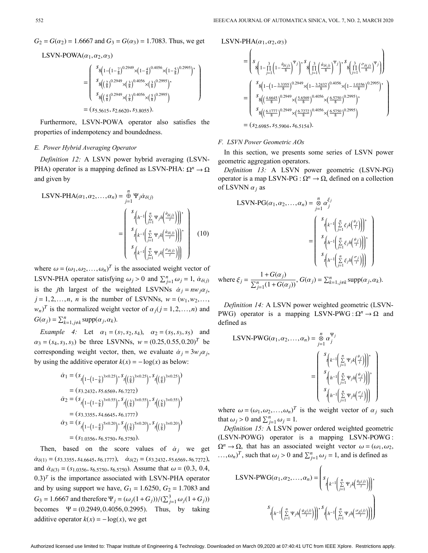$G_2 = G(\alpha_2) = 1.6667$  and  $G_3 = G(\alpha_3) = 1.7083$ . Thus, we get

LSVN-POWA $(\alpha_1, \alpha_2, \alpha_3)$ 

$$
= \begin{pmatrix} s_8(1-(1-\frac{7}{8})^{0.2949}\times(1-\frac{4}{8})^{0.4056}\times(1-\frac{5}{8})^{0.2995})' \\ s_8((\frac{2}{8})^{0.2949}\times(\frac{3}{8})^{0.4056}\times(\frac{3}{8})^{0.2995})' \\ s_8((\frac{4}{8})^{0.2949}\times(\frac{3}{8})^{0.4056}\times(\frac{5}{8})^{0.2995})' \\ = (s_{5.5615}, s_{2.6620}, s_{3.8055}). \end{pmatrix}
$$

Furthermore, LSVN-POWA operator also satisfies the properties of indempotency and boundedness.

# *E. Power Hybrid Averaging Operator*

PHA) operator is a mapping defined as LSVN-PHA:  $\Omega^n \to \Omega$ *Definition 12:* A LSVN power hybrid averaging (LSVNand given by

$$
LSVN-PHA(\alpha_1, \alpha_2, ..., \alpha_n) = \bigoplus_{j=1}^n \Psi_j \dot{\alpha}_{\delta(j)}
$$

$$
= \begin{pmatrix} s_{\left(h^{-1}\left(\sum\limits_{j=1}^n \Psi_j h\left(\frac{\theta_{\delta(j)}}{r}\right)\right)\right)}, \\ s_{\left(k^{-1}\left(\sum\limits_{j=1}^n \Psi_j k\left(\frac{\dot{\psi}_{\delta(j)}}{r}\right)\right)\right)}, \\ s_{\left(k^{-1}\left(\sum\limits_{j=1}^n \Psi_j k\left(\frac{\dot{\psi}_{\delta(j)}}{r}\right)\right)\right)} \\ s_{\left(k^{-1}\left(\sum\limits_{j=1}^n \Psi_j k\left(\frac{\dot{\sigma}_{\delta(j)}}{r}\right)\right)\right)} \end{pmatrix}
$$
(10)

where  $\omega = (\omega_1, \omega_2, ..., \omega_n)^T$  is the associated weight vector of LSVN-PHA operator satisfying  $\omega_j > 0$  and  $\sum_{j=1}^n \omega_j = 1$ ,  $\dot{\alpha}_{\delta(j)}$ is the *j*th largest of the weighted LSVNNs  $\dot{a}_j = nw_j \alpha_j$ ,  $j = 1, 2, ..., n$ , *n* is the number of LSVNNs,  $w = (w_1, w_2, ..., w_n)$  $w_n$ <sup>*T*</sup> is the normalized weight vector of  $\alpha_j$  (*j* = 1,2,...,*n*) and  $G(\alpha_j) = \sum_{k=1, j \neq k}^n \text{supp}(\alpha_j, \alpha_k)$ .

Example 4: Let  $\alpha_1 = (s_7, s_2, s_4), \alpha_2 = (s_5, s_3, s_5)$  and  $\alpha_3 = (s_4, s_3, s_3)$  be three LSVNNs,  $w = (0.25, 0.55, 0.20)^T$  be corresponding weight vector, then, we evaluate  $\dot{\alpha}_j = 3w_j\alpha_j$ , by using the additive operator  $k(x) = -\log(x)$  as below:

$$
\dot{\alpha}_1 = (s_{t(1-(1-\frac{7}{8})^{3\times 0.25})}, s_{t((\frac{2}{8})^{3\times 0.25})}, s_{t((\frac{4}{8})^{3\times 0.25})})
$$
\n
$$
= (s_{3.2432}, s_{5.6569}, s_{6.7272})
$$
\n
$$
\dot{\alpha}_2 = (s_{t(1-(1-\frac{5}{8})^{3\times 0.55})}, s_{t((\frac{3}{8})^{3\times 0.55})}, s_{t((\frac{5}{8})^{3\times 0.55})})
$$
\n
$$
= (s_{3.3355}, s_{4.6645}, s_{6.1777})
$$
\n
$$
\dot{\alpha}_3 = (s_{t(1-(1-\frac{4}{8})^{5\times 0.20})}, s_{t((\frac{3}{8})^{5\times 0.20})}, s_{t((\frac{3}{8})^{3\times 0.20})})
$$
\n
$$
= (s_{1.0356}, s_{6.5750}, s_{6.5750}).
$$

Then, based on the score values of  $\dot{a}_j$  we get  $\dot{\alpha}_{\delta(1)} = (s_{3.3355}, s_{4.6645}, s_{6.1777}), \quad \dot{\alpha}_{\delta(2)} = (s_{3.2432}, s_{5.6569}, s_{6.7272}),$ and  $\dot{\alpha}_{\delta(3)} = (s_{1.0356}, s_{6.5750}, s_{6.5750})$ . Assume that  $\omega = (0.3, 0.4,$ and by using support we have,  $G_1 = 1.6250$ ,  $G_2 = 1.7083$  and *G*<sub>3</sub> = 1.6667 and therefore  $Ψ_j = (ω_j(1+G_j)) / (\sum_{j=1}^3 ω_j(1+G_j))$ becomes  $\Psi = (0.2949, 0.4056, 0.2995)$ . Thus, by taking additive operator  $k(x) = -\log(x)$ , we get  $(0.3)^T$  is the importance associated with LSVN-PHA operator LSVN-PHA $(\alpha_1, \alpha_2, \alpha_3)$ 

$$
= \left(s_{8}\left(1-\prod_{j=1}^{3}\left(1-\frac{\theta_{\delta(j)}}{8}\right)^{\Psi_{j}}\right)^{s} s_{8}\left(\prod_{j=1}^{3}\left(\frac{\phi_{\delta(j)}}{8}\right)^{\Psi_{j}}\right)^{s} s_{8}\left(\prod_{j=1}^{3}\left(\frac{\sigma_{\delta(j)}}{8}\right)^{\Psi_{j}}\right)\right)
$$

$$
= \left(\frac{s_{8}\left(1-\left(1-\frac{3.3355}{8}\right)^{0.2949}\times\left(1-\frac{3.2432}{8}\right)^{0.4056}\times\left(1-\frac{1.0356}{8}\right)^{0.2995}\right)^{s}}{s_{8}\left(\left(\frac{4.6645}{8}\right)^{0.2949}\times\left(\frac{5.6569}{8}\right)^{0.4056}\times\left(\frac{6.5750}{8}\right)^{0.2995}\right)}, s_{8}\left(\frac{6.1777}{8}\right)^{0.2949}\times\left(\frac{6.7272}{8}\right)^{0.4056}\times\left(\frac{6.5750}{8}\right)^{0.2995}\right)}
$$

$$
= (s_{2.6985}, s_{5.5904}, s_{6.5154}).
$$

### *F. LSVN Power Geometric AOs*

In this section, we presents some series of LSVN power geometric aggregation operators.

operator is a map LSVN-PG :  $\Omega^n \to \Omega$ , defined on a collection of LSVNN  $\alpha_j$  as *Definition 13:* A LSVN power geometric (LSVN-PG)

$$
LSVN\text{-PG}(\alpha_1, \alpha_2, \dots, \alpha_n) = \sum_{j=1}^n \alpha_j^{\xi_j}
$$
\n
$$
= \begin{pmatrix}\n s_{\left(k^{-1}\left(\frac{n}{\sum j}\xi_j k\left(\frac{\theta_j}{\tau}\right)\right)\right)}, \\
 s_{\left(h^{-1}\left(\frac{n}{\sum j}\xi_j h\left(\frac{\theta_j}{\tau}\right)\right)\right)}, \\
 s_{\left(h^{-1}\left(\frac{n}{\sum j}\xi_j h\left(\frac{\sigma_j}{\tau}\right)\right)\right)} \\
 s_{\left(h^{-1}\left(\frac{n}{\sum j}\xi_j h\left(\frac{\sigma_j}{\tau}\right)\right)\right)}\n\end{pmatrix}
$$
\n
$$
1 + G(\alpha_i)
$$

 $\xi_j = \frac{1 + G(\alpha_j)}{\sum_{i=1}^n (1 + G(\alpha_j))}$ where  $\xi_j = \frac{1 + \mathbf{G}(\alpha_j)}{\sum_{j=1}^n (1 + G(\alpha_j))}$ ,  $G(\alpha_j) = \sum_{k=1, j \neq k}^n \text{supp}(\alpha_j, \alpha_k)$ .

PWG) operator is a mapping LSVN-PWG :  $\Omega^n \to \Omega$  and *Definition 14:* A LSVN power weighted geometric (LSVNdefined as

$$
LSVN-PWG(\alpha_1, \alpha_2, ..., \alpha_n) = \sum_{j=1}^n \alpha_j^{\Psi_j}
$$

$$
= \begin{pmatrix} s_{\left(k^{-1}\left(\sum\limits_{j=1}^n \Psi_j k(\frac{\theta_j}{r})\right)\right)}, \\ s_{\left(h^{-1}\left(\sum\limits_{j=1}^n \Psi_j h(\frac{\theta_j}{r})\right)\right)}, \\ s_{\left(h^{-1}\left(\sum\limits_{j=1}^n \Psi_j h(\frac{\theta_j}{r})\right)\right)} \end{pmatrix}
$$

where  $\omega = (\omega_1, \omega_2, ..., \omega_n)^T$  is the weight vector of  $\alpha_j$  such that  $\omega_j > 0$  and  $\sum_{j=1}^n \omega_j = 1$ .

(LSVN-POWG) operator is a mapping LSVN-POWG:  $\Omega^n \to \Omega$ , that has an associated weight vector  $\omega = (\omega_1, \omega_2, \omega_3)$  $\ldots$ ,  $\omega_n$ )<sup>T</sup>, such that  $\omega_j > 0$  and  $\sum_{j=1}^n \omega_j = 1$ , and is defined as *Definition 15:* A LSVN power ordered weighted geometric

$$
\text{LSVN-PWG}(\alpha_1, \alpha_2, \dots, \alpha_n) = \left( s_{\left( k^{-1} \left( \sum\limits_{j=1}^n \Psi_j k \left( \frac{\theta_{\delta}(j)}{t} \right) \right) \right)},
$$

$$
s_{\left( h^{-1} \left( \sum\limits_{j=1}^n \Psi_j h \left( \frac{\Psi_{\delta}(j)}{t} \right) \right) \right)}, s_{\left( h^{-1} \left( \sum\limits_{j=1}^n \Psi_j h \left( \frac{\sigma_{\delta}(j)}{t} \right) \right) \right)} \right)
$$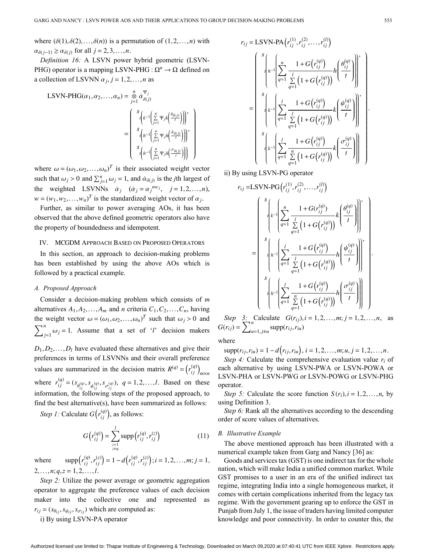where  $(\delta(1), \delta(2),..., \delta(n))$  is a permutation of  $(1,2,...,n)$  with  $\alpha_{\delta(j-1)} \geq \alpha_{\delta(j)}$  for all  $j = 2, 3, ..., n$ .

PHG) operator is a mapping LSVN-PHG :  $\Omega^n \to \Omega$  defined on a collection of LSVNN  $\alpha_j$ ,  $j = 1, 2, ..., n$  as *Definition 16:* A LSVN power hybrid geometric (LSVN-

$$
LSVN-PHG(\alpha_1, \alpha_2, ..., \alpha_n) = \sum_{j=1}^n \dot{\alpha}_{\delta(j)}^{ \Psi_j}
$$

$$
= \begin{pmatrix} s \left(k^{-1} \left(\sum_{j=1}^n \Psi_j k\left(\frac{\dot{\theta}_{\delta(j)}}{t}\right)\right)\right) \\ s \left(k^{-1} \left(\sum_{j=1}^n \Psi_j h\left(\frac{\dot{\theta}_{\delta(j)}}{t}\right)\right)\right) \\ s \left(k^{-1} \left(\sum_{j=1}^n \Psi_j h\left(\frac{\dot{\theta}_{\delta(j)}}{t}\right)\right)\right) \end{pmatrix}
$$

where  $\omega = (\omega_1, \omega_2, ..., \omega_n)^T$  is their associated weight vector such that  $\omega_j > 0$  and  $\sum_{j=1}^n \omega_j = 1$ , and  $\dot{\alpha}_{\delta(j)}$  is the *j*th largest of the weighted LSVNNs  $\dot{\alpha}_j$  ( $\dot{\alpha}_j = \alpha_j^{nw_j}$ ,  $j = 1, 2, ..., n$ ),  $w = (w_1, w_2, \dots, w_n)^T$  is the standardized weight vector of  $\alpha_j$ .

Further, as similar to power averaging AOs, it has been observed that the above defined geometric operators also have the property of boundedness and idempotent.

#### IV. MCGDM Approach Based on Proposed Operators

In this section, an approach to decision-making problems has been established by using the above AOs which is followed by a practical example.

## *A. Proposed Approach*

Consider a decision-making problem which consists of m *A*1,*A*<sub>2</sub>,...,*A*<sup>*m*</sup> and *n* criteria  $C_1, C_2, \ldots, C_n$ , having the weight vector  $\omega = (\omega_1, \omega_2, ..., \omega_n)^T$  such that  $\omega_j > 0$  and  $\sum_{j=1}^{n} \omega_j = 1$ . Assume that a set of '*l*' decision makers  $D_1, D_2, \ldots, D_l$  have evaluated these alternatives and give their values are summarized in the decision matrix  $R^{(q)} = (r_{ij}^{(q)})_{m \times n}$ where  $r_{ij}^{(q)} = (s_{\theta_{ij}^{(q)}}, s_{\psi_{ij}^{(q)}}, s_{\sigma_{ij}^{(q)}}), q = 1, 2, ..., l$ . Based on these preferences in terms of LSVNNs and their overall preference information, the following steps of the proposed approach, to find the best alternative(s), have been summarized as follows:

*Step 1:* Calculate  $G(r_{ij}^{(q)})$ , as follows:

$$
G(r_{ij}^{(q)}) = \sum_{\substack{z=1\\z\neq q}}^{l} \text{supp}(r_{ij}^{(q)}, r_{ij}^{(z)})
$$
(11)

 $supp(r_{ij}^{(q)}, r_{ij}^{(z)}) = 1 - d(r_{ij}^{(q)}, r_{ij}^{(z)})$ ; *i* = 1,2,...,*m*; *j* = 1, 2,...,*n*;  $q$ ,  $z$  = 1, 2,...,*l*. where

 $r_{ij} = (s_{\theta_{ij}}, s_{\psi_{ij}}, s_{\sigma_{ij}})$  which are computed as: *Step 2:* Utilize the power average or geometric aggregation operator to aggregate the preference values of each decision maker into the collective one and represented as

i) By using LSVN-PA operator

$$
r_{ij} = \text{LSVN-PA}\left(r_{ij}^{(1)}, r_{ij}^{(2)}, \dots, r_{ij}^{(l)}\right)
$$
\n
$$
= \begin{bmatrix}\n s \left( \int_{h^{-1}} \left( \sum_{q=1}^{n} \frac{1 + G(r_{ij}^{(q)})}{\sum_{q=1}^{l} \left( 1 + G(r_{ij}^{(q)}) \right)} h \left( \frac{\theta_{ij}^{(q)}}{t} \right) \right) \right) \\
 s \left( k^{-1} \left( \sum_{q=1}^{l} \frac{1 + G(r_{ij}^{(q)})}{\sum_{q=1}^{l} \left( 1 + G(r_{ij}^{(q)}) \right)} k \left( \frac{\psi_{ij}^{(q)}}{t} \right) \right) \right) \\
 s \left( k^{-1} \left( \sum_{q=1}^{l} \frac{1 + G(r_{ij}^{(q)})}{\sum_{q=1}^{n} \left( 1 + G(r_{ij}^{(q)}) \right)} k \left( \frac{\sigma_{ij}^{(q)}}{t} \right) \right) \right)\n\end{bmatrix}
$$

ii) By using LSVN-PG operator

$$
r_{ij} = LSVN\text{-PG}\left(r_{ij}^{(1)}, r_{ij}^{(2)}, \dots, r_{ij}^{(l)}\right)
$$
\n
$$
= \begin{bmatrix}\n\int_{0}^{S} \left( \int_{q=1}^{n} \frac{1 + G(r_{ij}^{(q)})}{\sum_{q=1}^{l} \left(1 + G(r_{ij}^{(q)})\right)} k\left(\frac{\theta_{ij}^{(q)}}{t}\right) \right]_{0}^{1} \\
\int_{0}^{S} \left( h^{-1} \left( \sum_{q=1}^{l} \frac{1 + G(r_{ij}^{(q)})}{\sum_{q=1}^{l} \left(1 + G(r_{ij}^{(q)})\right)} h\left(\frac{\psi_{ij}^{(q)}}{t}\right) \right) \right)_{0}^{1} \\
\int_{0}^{S} \left( h^{-1} \left( \sum_{q=1}^{l} \frac{1 + G(r_{ij}^{(q)})}{\sum_{q=1}^{n} \left(1 + G(r_{ij}^{(q)})\right)} h\left(\frac{\sigma_{ij}^{(q)}}{t}\right) \right) \right)_{0}^{1} \\
\end{bmatrix}.
$$

 $G(r_{ij}), i = 1, 2, \ldots, m; j = 1, 2, \ldots, n$  $G(r_{ij}) = \sum_{u=1, j \neq u}^{n} \text{supp}(r_{ij}, r_{iu})$ *Step 3:* Calculate  $G(r_{ij}), i = 1, 2, ..., m; j = 1, 2, ..., n$ , as

where

 $supp(r_{ij}, r_{iu}) = 1 - d(r_{ij}, r_{iu}), i = 1, 2, ..., m; u, j = 1, 2, ..., n.$ 

*Step 4:* Calculate the comprehensive evaluation value *r<sup>i</sup>* of each alternative by using LSVN-PWA or LSVN-POWA or LSVN-PHA or LSVN-PWG or LSVN-POWG or LSVN-PHG operator.

*Step 5:* Calculate the score function  $S(r_i)$ ,  $i = 1, 2, ..., n$ , by using Definition 3.

*Step 6:* Rank all the alternatives according to the descending order of score values of alternatives.

## *B. Illustrative Example*

The above mentioned approach has been illustrated with a numerical example taken from Garg and Nancy [36] as:

Goods and services tax (GST) is one indirect tax for the whole nation, which will make India a unified common market. While GST promises to a user in an era of the unified indirect tax regime, integrating India into a single homogeneous market, it comes with certain complications inherited from the legacy tax regime. With the government gearing up to enforce the GST in Punjab from July 1, the issue of traders having limited computer knowledge and poor connectivity. In order to counter this, the

.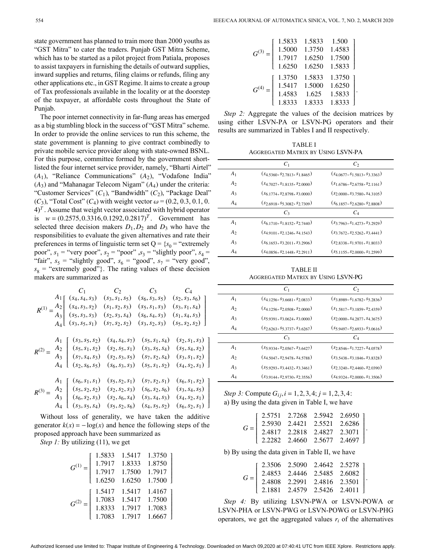state government has planned to train more than 2000 youths as "GST Mitra" to cater the traders. Punjab GST Mitra Scheme, which has to be started as a pilot project from Patiala, proposes to assist taxpayers in furnishing the details of outward supplies, inward supplies and returns, filing claims or refunds, filing any other applications etc., in GST Regime. It aims to create a group of Tax professionals available in the locality or at the doorstep of the taxpayer, at affordable costs throughout the State of Punjab.

 $(A_1)$ , "Reliance Communications"  $(A_2)$ , "Vodafone India"  $(A_3)$  and "Mahanagar Telecom Nigam"  $(A_4)$  under the criteria: "Customer Services"  $(C_1)$ , "Bandwidth"  $(C_2)$ , "Package Deal"  $(C_3)$ , "Total Cost"  $(C_4)$  with weight vector  $\omega = (0.2, 0.3, 0.1, 0.1)$ is  $w = (0.2575, 0.3316, 0.1292, 0.2817)^T$ . Government has selected three decision makers  $D_1$ ,  $D_2$  and  $D_3$  who have the The poor internet connectivity in far-flung areas has emerged as a big stumbling block in the success of "GST Mitra" scheme. In order to provide the online services to run this scheme, the state government is planning to give contract combinedly to private mobile service provider along with state-owned BSNL. For this purpose, committee formed by the government shortlisted the four internet service provider, namely, "Bharti Airtel"  $4$ <sup>T</sup>. Assume that weight vector associated with hybrid operator responsibilities to evaluate the given alternatives and rate their preferences in terms of linguistic term set  $Q = \{s_0 = "extremely\}$ poor",  $s_1$  = "very poor",  $s_2$  = "poor" , $s_3$  = "slightly poor",  $s_4$  = "fair",  $s_5$  = "slightly good",  $s_6$  = "good",  $s_7$  = "very good",  $s_8$  = "extremely good"}. The rating values of these decision makers are summarized as

$$
R^{(1)} = \frac{A_1}{A_3} \begin{bmatrix} (s_4, s_4, s_3) & (s_3, s_1, s_5) & (s_6, s_3, s_5) & (s_2, s_3, s_6) \\ (s_4, s_3, s_2) & (s_1, s_2, s_3) & (s_5, s_1, s_3) & (s_3, s_1, s_4) \\ (s_5, s_3, s_3) & (s_2, s_3, s_4) & (s_6, s_4, s_3) & (s_1, s_4, s_3) \\ (s_3, s_5, s_1) & (s_7, s_2, s_2) & (s_3, s_2, s_3) & (s_5, s_2, s_2) \end{bmatrix}
$$

$$
R^{(2)} = \frac{A_2}{A_3} \begin{bmatrix} (s_3, s_5, s_2) & (s_4, s_4, s_7) & (s_5, s_1, s_4) & (s_2, s_1, s_3) \\ (s_5, s_1, s_2) & (s_2, s_5, s_1) & (s_3, s_5, s_4) & (s_5, s_4, s_2) \\ (s_7, s_4, s_3) & (s_2, s_3, s_5) & (s_7, s_2, s_4) & (s_3, s_1, s_2) \\ (s_2, s_6, s_5) & (s_6, s_3, s_3) & (s_5, s_1, s_2) & (s_4, s_2, s_1) \end{bmatrix}
$$

$$
R^{(3)} = \frac{A_2}{A_3} \begin{bmatrix} (s_6, s_1, s_1) & (s_5, s_2, s_1) & (s_7, s_2, s_1) & (s_6, s_1, s_2) \\ (s_6, s_2, s_2) & (s_2, s_2, s_3) & (s_6, s_2, s_6) & (s_3, s_4, s_5) \\ (s_6, s_2, s_3) & (s_2, s_6, s_4) & (s_3, s_4, s_3) & (s_4, s_2, s_1) \\ (s_3, s_5, s_4) & (s_5, s_2, s_6) & (s_4, s_5, s_2) & (s_6, s_2
$$

generator  $k(x) = -\log(x)$  and hence the following steps of the Without loss of generality, we have taken the additive proposed approach have been summarized as

*Step 1:* By utilizing (11), we get

| 1.5833 | 1.5417 | 1.3750 |
|--------|--------|--------|
| 1.7917 | 1.8333 | 1.8750 |
| 1.7917 | 1.7500 | 1.7917 |
| 1.6250 | 1.6250 | 1.7500 |
|        |        |        |
| 1.5417 | 1.5417 | 1.4167 |
| 1.7083 | 1.5417 | 1.7500 |
| 1.8333 | 1.7917 | 1.7083 |

|                  | 1.5833 | 1.5833 | 1.500  |
|------------------|--------|--------|--------|
| G <sup>(3)</sup> | 1.5000 | 1.3750 | 1.4583 |
|                  | 1.7917 | 1.6250 | 1.7500 |
|                  | 1.6250 | 1.6250 | 1.5833 |
|                  | 1.3750 | 1.5833 | 1.3750 |
|                  | 1.5417 | 1.5000 | 1.6250 |
|                  | 1.4583 | 1.625  | 1.5833 |
|                  | 1.8333 | 1.8333 | 1.8333 |

*Step 2:* Aggregate the values of the decision matrices by using either LSVN-PA or LSVN-PG operators and their results are summarized in Tables I and II respectively.

.

TABLE I Aggregated Matrix by Using LSVN-PA

|                | $C_1$                                     | $C_2$                                  |
|----------------|-------------------------------------------|----------------------------------------|
| A <sub>1</sub> | $(s_{4.5360}, s_{2.7813}, s_{1.8465})$    | $(s_{4.0677}, s_{1.5813}, s_{3.3363})$ |
| A <sub>2</sub> | $(s_{4\,7027}, s_{1\,8135}, s_{2\,0000})$ | $(s_1 6786, s_2 6758, s_2 1161)$       |
| $A_3$          | $(s_{6\ 1774}, s_{2\ 8798}, s_{3\ 0000})$ | $(s_{2.0000}, s_{3.7580}, s_{4.3105})$ |
| $A_4$          | $(s_{2.6918}, s_{5.3082}, s_{2.7309})$    | $(s_{6.1857}, s_{2.6280}, s_{2.8808})$ |
|                | $C_3$                                     | C <sub>4</sub>                         |
| A <sub>1</sub> | $(s_{61710}, s_{18152}, s_{27440})$       | $(s_3 7963, s_1 4273, s_3 2929)$       |
| A <sub>2</sub> | $(s_{49101}, s_{21246}, s_{41543})$       | $(s_3$ 7672, $s_2$ 5262, $s_3$ 4441)   |
| $A_3$          | $(s_{6.1653}, s_{3.2011}, s_{3.2906})$    | $(s_2$ 8338, $s_1$ 9701, $s_1$ 8033)   |
| A4             | $(s_{4.0856}, s_{2.1448}, s_{2.2911})$    | $(s_{51155}, s_{20000}, s_{12599})$    |
|                |                                           |                                        |

TABLE II Aggregated Matrix by Using LSVN-PG

|                | $C_1$                                     | $\mathcal{C}_2$                        |
|----------------|-------------------------------------------|----------------------------------------|
| A <sub>1</sub> | $(s_{4\,1256}, s_{3\,6681}, s_{2\,0833})$ | $(s_38989, s_16782, s_52836)$          |
| A <sub>2</sub> | $(s_{4\ 1256}, s_{2.0508}, s_{2.0000})$   | $(s_{1.5817}, s_{3.1859}, s_{2.4359})$ |
| $A_3$          | $(s_{5,9391}, s_{3,0624}, s_{3,0000})$    | $(s_{2,0000}, s_{4,2877}, s_{4,3675})$ |
| A4             | $(s_{2.6263}, s_{5.3737}, s_{3.6267})$    | $(s_{5.9497}, s_{2.6933}, s_{3.0616})$ |
|                | $C_3$                                     | $C_4$                                  |
| A <sub>1</sub> | $(s_{5.9334}, s_{2.0567}, s_{3.6427})$    | $(s_{28546}, s_{17227}, s_{40578})$    |
| A <sub>2</sub> | $(s_4$ 5047, $s_2$ 9478, $s_4$ 5788)      | $(s_3 5438, s_3 1846, s_3 8328)$       |
| $A_3$          | $(s_{5.9293}, s_{3.4432}, s_{3.3461})$    | $(s_{2,3240}, s_{2,4460}, s_{2,0390})$ |
| A4             | $(s_3, 9144, s_2, 9730, s_2, 3556)$       | $(s_4\,9324, s_2\,0000, s_1\,3506)$    |

*Step 3:* Compute  $G_{ij}$ ,  $i = 1, 2, 3, 4$ ;  $j = 1, 2, 3, 4$ : a) By using the data given in Table I, we have

|  |  | $G = \left[ \begin{array}{cccc} 2.5751 & 2.7268 & 2.5942 & 2.6950 \\ 2.5930 & 2.4421 & 2.5521 & 2.6286 \\ 2.4817 & 2.2818 & 2.4827 & 2.3071 \\ \end{array} \right]$ |
|--|--|---------------------------------------------------------------------------------------------------------------------------------------------------------------------|
|  |  | $\begin{bmatrix} 2.2282 & 2.4660 & 2.5677 & 2.4697 \end{bmatrix}$                                                                                                   |

.

b) By using the data given in Table II, we have

| $G = \left[ \begin{array}{cccc} 2.3506 & 2.5090 & 2.4642 & 2.5278 \\ 2.4853 & 2.4446 & 2.5485 & 2.6082 \\ 2.4808 & 2.2991 & 2.4816 & 2.3501 \end{array} \right].$ |  |  |
|-------------------------------------------------------------------------------------------------------------------------------------------------------------------|--|--|
| $\left[ \begin{array}{cc} 2.1881 & 2.4579 & 2.5426 & 2.4011 \end{array} \right]$                                                                                  |  |  |

operators, we get the aggregated values  $r_i$  of the alternatives *Step 4:* By utilizing LSVN-PWA or LSVN-POWA or LSVN-PHA or LSVN-PWG or LSVN-POWG or LSVN-PHG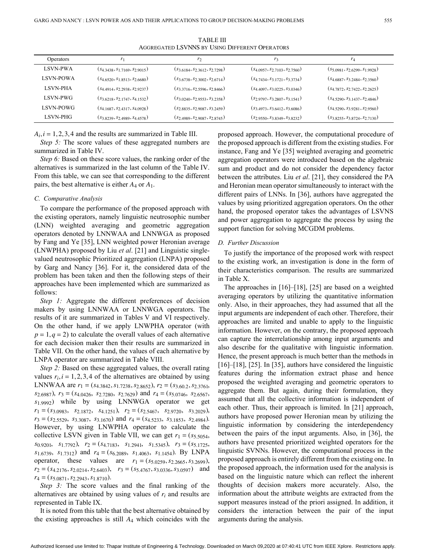| Operators        | $r_1$                                  | r <sub>2</sub>                         | r3                                     | $r_4$                                  |
|------------------|----------------------------------------|----------------------------------------|----------------------------------------|----------------------------------------|
| <b>LSVN-PWA</b>  | (S4,3438, S1,7169, S2,9015)            | (S3,6184, S2,3612, S2,7298)            | $(s_{4.0957}, s_{2.7103}, s_{2.7560})$ | $(s_{5.0981}, s_{2.6299}, s_{1.9928})$ |
| <b>LSVN-POWA</b> | (S4,6520, S1,8513, S2,6680)            | $(s_{3.6738}, s_{2.3002}, s_{2.6714})$ | $(s_{4.7434}, s_{3.1721}, s_{3.3734})$ | $(s_{4.6887}, s_{3.2484}, s_{2.3560})$ |
| <b>LSVN-PHA</b>  | (S4.4914, S2.2938, S2.9237)            | $(s_{3.3716}, s_{2.5596}, s_{2.8466})$ | $(s_{4.4097}, s_{3.0225}, s_{3.0346})$ | $(s_{4.7872}, s_{2.7422}, s_{2.2625})$ |
| LSVN-PWG         | $(s_{3.6218}, s_{2.1747}, s_{4.1532})$ | $(s_{3.0240}, s_{2.9553}, s_{3.2358})$ | $(s_{2.9797}, s_{3.2807}, s_{3.1541})$ | $(s_{4.5290}, s_{3.1437}, s_{2.4846})$ |
| <b>LSVN-POWG</b> | $(s_{4.1687}, s_{2.4317}, s_{4.0928})$ | $(s_{2.8835}, s_{2.9087}, s_{3.2459})$ | (S3,4973, S3,6412, S3,6086)            | $(s_{4.5290}, s_{3.9281}, s_{2.9560})$ |
| LSVN-PHG-        | $(s_{3,8239}, s_{2,4989}, s_{4,4578})$ | $(s_{2.4989}, s_{2.9087}, s_{2.8745})$ | $(s_{2.9550}, s_{3.8349}, s_{3.8232})$ | $(s_{3.8255}, s_{3.8724}, s_{2.7130})$ |

TABLE III Aggregated LSVNNS by Using Different Operators

 $A_i$ ,  $i = 1, 2, 3, 4$  and the results are summarized in Table III.

*Step 5:* The score values of these aggregated numbers are summarized in Table IV.

pairs, the best alternative is either  $A_4$  or  $A_1$ . *Step 6:* Based on these score values, the ranking order of the alternatives is summarized in the last column of the Table IV. From this table, we can see that corresponding to the different

### *C. Comparative Analysis*

To compare the performance of the proposed approach with the existing operators, namely linguistic neutrosophic number (LNN) weighted averaging and geometric aggregation operators denoted by LNNWAA and LNNWGA as proposed by Fang and Ye [35], LNN weighted power Heronian average (LNWPHA) proposed by Liu *et al*. [21] and Linguistic singlevalued neutrosophic Prioritized aggregation (LNPA) proposed by Garg and Nancy [36]. For it, the considered data of the problem has been taken and then the following steps of their approaches have been implemented which are summarized as follows:

 $p = 1, q = 2$ ) to calculate the overall values of each alternative *Step 1:* Aggregate the different preferences of decision makers by using LNNWAA or LNNWGA operators. The results of it are summarized in Tables V and VI respectively. On the other hand, if we apply LNWPHA operator (with for each decision maker then their results are summarized in Table VII. On the other hand, the values of each alternative by LNPA operator are summarized in Table VIII.

values  $r_i$ ,  $i = 1, 2, 3, 4$  of the alternatives are obtained by using *Fi*<sub>1</sub> = ( $s_{4.3842}, s_{1.7238}, s_{2.8652}$ ),  $r_2$  = ( $s_{3.60.2}, s_{2.3761}$ ) *s*<sub>2.6987</sub>),  $r_3 = (s_{4.0426}, s_{2.7280}, s_{2.7629})$  and  $r_4 = (s_{5.0746}, s_{2.6567}, s_{3.6567})$ *s*1.9992) while by using LNNWGA operator we get  $r_1 = (s_{3.0983}, s_{2.1872}, s_{4.1251}), r_2 = (s_{2.5467}, s_{2.9720}, s_{3.2029}),$  $r_3 = (s_{2.5529}, s_{3.3087}, s_{3.1670})$  and  $r_4 = (s_{4.5233}, s_{3.1853}, s_{2.4984})$ . collective LSVN given in Table VII, we can get  $r_1 = (s_{5.5054},$ *s*<sub>0.9201</sub>, *s*<sub>1.7792</sub>,  $r_2 = (s_{4.7183}, s_{1.2941}, s_{1.5345}), r_3 = (s_{5.1725},$  $s_{1.6739}, s_{1.7312}$  and  $r_4 = (s_{6.2089}, s_{1.4063}, s_{1.1454})$ . By LNPA operator, these values are  $r_1 = (s_{5.0259}, s_{2.2665}, s_{3.2699})$ ,  $r_2 = (s_{4.2176}, s_{2.0214}, s_{2.6403}), \quad r_3 = (s_{5.4767}, s_{3.0336}, s_{3.0597})$  and *r*<sup>4</sup> = (*s*5.0871,*s*2.2943,*s*1.8710) . *Step 2:* Based on these aggregated values, the overall rating However, by using LNWPHA operator to calculate the

alternatives are obtained by using values of  $r_i$  and results are *Step 3:* The score values and the final ranking of the represented in Table IX.

the existing approaches is still  $A_4$  which coincides with the It is noted from this table that the best alternative obtained by proposed approach. However, the computational procedure of the proposed approach is different from the existing studies. For instance, Fang and Ye [35] weighted averaging and geometric aggregation operators were introduced based on the algebraic sum and product and do not consider the dependency factor between the attributes. Liu *et al*. [21], they considered the PA and Heronian mean operator simultaneously to interact with the different pairs of LNNs. In [36], authors have aggregated the values by using prioritized aggregation operators. On the other hand, the proposed operator takes the advantages of LSVNS and power aggregation to aggregate the process by using the support function for solving MCGDM problems.

#### *D. Further Discussion*

To justify the importance of the proposed work with respect to the existing work, an investigation is done in the form of their characteristics comparison. The results are summarized in Table X.

The approaches in [16]–[18], [25] are based on a weighted averaging operators by utilizing the quantitative information only. Also, in their approaches, they had assumed that all the input arguments are independent of each other. Therefore, their approaches are limited and unable to apply to the linguistic information. However, on the contrary, the proposed approach can capture the interrelationship among input arguments and also describe for the qualitative with linguistic information. Hence, the present approach is much better than the methods in [16]–[18], [25]. In [35], authors have considered the linguistic features during the information extract phase and hence proposed the weighted averaging and geometric operators to aggregate them. But again, during their formulation, they assumed that all the collective information is independent of each other. Thus, their approach is limited. In [21] approach, authors have proposed power Heronian mean by utilizing the linguistic information by considering the interdependency between the pairs of the input arguments. Also, in [36], the authors have presented prioritized weighted operators for the linguistic SVNNs. However, the computational process in the proposed approach is entirely different from the existing one. In the proposed approach, the information used for the analysis is based on the linguistic nature which can reflect the inherent thoughts of decision makers more accurately. Also, the information about the attribute weights are extracted from the support measures instead of the priori assigned. In addition, it considers the interaction between the pair of the input arguments during the analysis.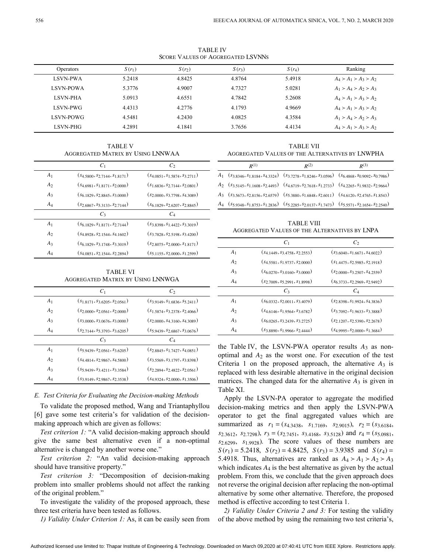TABLE IV Score Values of Aggregated LSVNNs

| <b>Operators</b> | $S(r_1)$ | $S(r_2)$ | $S(r_3)$ | $S(r_4)$ | Ranking                 |
|------------------|----------|----------|----------|----------|-------------------------|
| <b>LSVN-PWA</b>  | 5.2418   | 4.8425   | 4.8764   | 5.4918   | $A_4 > A_1 > A_3 > A_2$ |
| <b>LSVN-POWA</b> | 5.3776   | 4.9007   | 4.7327   | 5.0281   | $A_1 > A_4 > A_2 > A_3$ |
| <b>LSVN-PHA</b>  | 5.0913   | 4.6551   | 4.7842   | 5.2608   | $A_4 > A_1 > A_3 > A_2$ |
| <b>LSVN-PWG</b>  | 4.4313   | 4.2776   | 4.1793   | 4.9669   | $A_4 > A_1 > A_3 > A_2$ |
| <b>LSVN-POWG</b> | 4.5481   | 4.2430   | 4.0825   | 4.3584   | $A_1 > A_4 > A_2 > A_3$ |
| LSVN-PHG         | 4.2891   | 4.1841   | 3.7656   | 4.4134   | $A_4 > A_1 > A_3 > A_2$ |

TABLE V Aggregated Matrix by Using LNNWAA

|                | $C_1$                                  | C <sub>2</sub>                         |
|----------------|----------------------------------------|----------------------------------------|
| A <sub>1</sub> | $(s_{4.5800}, s_{2.7144}, s_{1.8171})$ | $(s_{4.0851}, s_{1.5874}, s_{3.2711})$ |
| A <sub>2</sub> | $(s_{4.6981}, s_{1.8171}, s_{2.0000})$ | $(s_{1,6836}, s_{2,7144}, s_{2,0801})$ |
| $A_3$          | $(s_{6.1829}, s_{2.8845}, s_{3.0000})$ | $(s_{20000}, s_{37798}, s_{43089})$    |
| $A_4$          | $(s_{2.6867}, s_{5.3133}, s_{2.7144})$ | $(s_{6.1829}, s_{2.6207}, s_{2.8845})$ |
|                | $C_3$                                  | $C_4$                                  |
| A <sub>1</sub> | $(s_{6.1829}, s_{1.8171}, s_{2.7144})$ | $(s_{3.8398}, s_{1.4422}, s_{3.3019})$ |
| A <sub>2</sub> | $(s_{4.8928}, s_{2.1544}, s_{4.1602})$ | $(s_3 7828, s_2 5198, s_3 4200)$       |
| $A_3$          | $(s_{6,1829}, s_{3,1748}, s_{3,3019})$ | $(s_{2.8075}, s_{2.0000}, s_{1.8171})$ |
| $A_4$          | $(s_{4.0851}, s_{2.1544}, s_{2.2894})$ | $(s_{5.1155}, s_{2.0000}, s_{1.2599})$ |
|                |                                        |                                        |

TABLE VI Aggregated Matrix by Using LNNWGA

|                | $C_1$                                  | C <sub>2</sub>                          |
|----------------|----------------------------------------|-----------------------------------------|
| A <sub>1</sub> | $(s_1$ 8171, $s_3$ 6205, $s_2$ 0561)   | $(s_{3.9149}, s_{1.6836}, s_{5.2411})$  |
| A <sub>2</sub> | $(s_{2.0000}, s_{2.0561}, s_{2.0000})$ | $(s_1$ 5874, $s_3$ 2378, $s_2$ 4066)    |
| $A_3$          | $(s_30000, s_30676, s_30000)$          | $(s_{20000}, s_{43160}, s_{43089})$     |
| $A_4$          | $(s_{2.7144}, s_{5.3793}, s_{3.6205})$ | $(s_{5.9439}, s_{2.6867}, s_{3.0676})$  |
|                | $C_3$                                  | $C_4$                                   |
| A <sub>1</sub> | $(s_{5.9439}, s_{2.0561}, s_{3.6205})$ | $(s_{2.8845}, s_{1.7427}, s_{4.0851})$  |
| A <sub>2</sub> | $(s_{4.4814}, s_{2.9867}, s_{4.5800})$ | $(s_3 5569, s_3 1797, s_3 8398)$        |
| $A_3$          | $(s_{5.9439}, s_{3.4211}, s_{3.3584})$ | $(s_2, s_{24}, s_{2,4822}, s_{2,0561})$ |
| $A_4$          | $(s39149, s29867, s23538)$             | $(s_4\,9324, s_2\,0000, s_1\,3506)$     |

# *E. Test Criteria for Evaluating the Decision-making Methods*

To validate the proposed method, Wang and Triantaphyllou [6] gave some test criteria's for validation of the decisionmaking approach which are given as follows:

*Test criterion 1:* "A valid decision-making approach should give the same best alternative even if a non-optimal alternative is changed by another worse one."

*Test criterion 2:* "An valid decision-making approach should have transitive property."

*Test criterion 3:* "Decomposition of decision-making problem into smaller problems should not affect the ranking of the original problem."

To investigate the validity of the proposed approach, these three test criteria have been tested as follows.

*1) Validity Under Criterion 1:* As, it can be easily seen from

TABLE VII Aggregated Values of the Alternatives by LNWPHA

| $R^{(1)}$ | $R^{(2)}$                                                                                                                  | $R^{(3)}$ |
|-----------|----------------------------------------------------------------------------------------------------------------------------|-----------|
|           | $A_1$ (\$3.8346, \$1.8184, \$4.3324) (\$3.7278, \$1.8246, \$3.0596) (\$6.4868, \$0.9092, \$0.7986)                         |           |
|           | $A_2$ $(s_{3.5145}, s_{1.1608}, s_{2.4493})$ $(s_{4.6719}, s_{2.7618}, s_{1.2733})$ $(s_{4.2265}, s_{1.9832}, s_{2.9664})$ |           |
|           | $A_3$ $(s_{3.5673}, s_{2.8156}, s_{2.6579})$ $(s_{5.3880}, s_{1.6848}, s_{2.6011})$ $(s_{4.6120}, s_{2.4765}, s_{1.8543})$ |           |
|           | $A_4$ $(s_{5.9348}, s_{1.8753}, s_{1.2836})$ $(s_{5.2285}, s_{2.0137}, s_{1.7473})$ $(s_{5.5571}, s_{2.1654}, s_{2.2540})$ |           |

TABLE VIII Aggregated Values of the Alternatives by LNPA

|                | $C_1$                                  | $C_2$                                  |
|----------------|----------------------------------------|----------------------------------------|
| A <sub>1</sub> | $(s_{4.1449}, s_{3.4758}, s_{2.2553})$ | $(s_{3.6040}, s_{1.6671}, s_{4.6022})$ |
| A <sub>2</sub> | $(s_4$ 5581, $s_1$ 9737, $s_2$ 0000)   | $(s_{1.4475}, s_{2.5985}, s_{2.1918})$ |
| $A_3$          | $(s_{6.0270}, s_{3.0160}, s_{3.0000})$ | $(s_{20000}, s_{32507}, s_{42559})$    |
| A4             | $(s_{2.7009}, s_{5.2991}, s_{1.8998})$ | $(s_{6,3733}, s_{2,2969}, s_{2,9492})$ |
|                | $C_3$                                  | $C_4$                                  |
| A <sub>1</sub> | $(s_{6.0332}, s_{2.0011}, s_{3.4079})$ | $(s_{2,8398}, s_{1,9924}, s_{4,3836})$ |
| A <sub>2</sub> | $(s_{4.6146}, s_{1.9564}, s_{3.6782})$ | $(s_{3.7092}, s_{1.9633}, s_{3.3888})$ |
| $A_3$          | $(s_{6.0265}, s_{3.2439}, s_{3.2725})$ | $(s_{2,1207}, s_{2,5390}, s_{2,2678})$ |
| A4             | $(s_38890, s_19966, s_2444)$           | $(s_{4.9995}, s_{2.0000}, s_{1.3684})$ |

the Table IV, the LSVN-PWA operator results  $A_3$  as nonoptimal and  $A_2$  as the worst one. For execution of the test Criteria 1 on the proposed approach, the alternative  $A_3$  is matrices. The changed data for the alternative  $A_3$  is given in replaced with less desirable alternative in the original decision Table XI.

summarized as  $r_1 = (s_{4.3438}, s_{1.7169}, s_{2.9015}), r_2 = (s_{3.6184},$ *s*<sub>2.3612</sub>, *s*<sub>2.7298</sub>),  $r_3 = (s_{2.7451}, s_{3.4168}, s_{3.5128})$  and  $r_4 = (s_{5.0981}, s_{5.6981})$ *s*<sub>2.6299</sub>, *s*<sub>1.9928</sub>). The score values of these numbers are  $S(r_1) = 5.2418$ ,  $S(r_2) = 4.8425$ ,  $S(r_3) = 3.9385$  and  $S(r_4) =$ 5.4918. Thus, alternatives are ranked as  $A_4 > A_1 > A_2 > A_3$ which indicates  $A_4$  is the best alternative as given by the actual Apply the LSVN-PA operator to aggregate the modified decision-making metrics and then apply the LSVN-PWA operator to get the final aggregated values which are problem. From this, we conclude that the given approach does not reverse the original decision after replacing the non-optimal alternative by some other alternative. Therefore, the proposed method is effective according to test Criteria 1.

*2) Validity Under Criteria 2 and 3:* For testing the validity of the above method by using the remaining two test criteria's,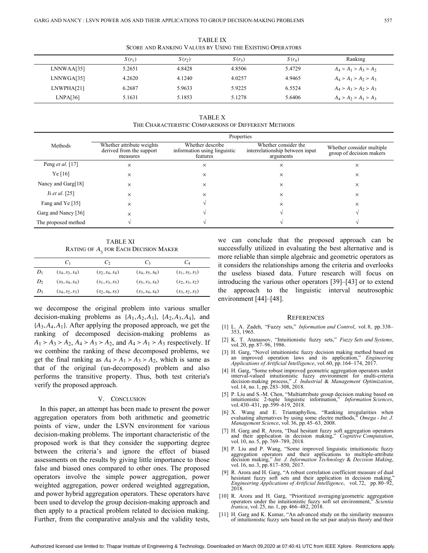| SCORE AND RANKING VALUES BY USING THE EXISTING OPERATORS |          |          |          |          |                         |  |  |
|----------------------------------------------------------|----------|----------|----------|----------|-------------------------|--|--|
|                                                          | $S(r_1)$ | $S(r_2)$ | $S(r_3)$ | $S(r_4)$ | Ranking                 |  |  |
| LNNWAA[35]                                               | 5.2651   | 4.8428   | 4.8506   | 5.4729   | $A_4 > A_1 > A_3 > A_2$ |  |  |
| LNNWGA[35]                                               | 4.2620   | 4.1240   | 4.0257   | 4.9465   | $A_4 > A_1 > A_2 > A_3$ |  |  |
| LNWPHA[21]                                               | 6.2687   | 5.9633   | 5.9225   | 6.5524   | $A_4 > A_1 > A_2 > A_3$ |  |  |
| LNPA[36]                                                 | 5.1631   | 5.1853   | 5.1278   | 5.6406   | $A_4 > A_2 > A_1 > A_3$ |  |  |

TABLE IX Score and Ranking Values by Using the Existing Operators

TABLE X The Characteristic Comparisons of Different Methods

|                         | Properties                                                        |                                                              |                                                                      |                                                       |  |  |
|-------------------------|-------------------------------------------------------------------|--------------------------------------------------------------|----------------------------------------------------------------------|-------------------------------------------------------|--|--|
| Methods                 | Whether attribute weights<br>derived from the support<br>measures | Whether describe<br>information using linguistic<br>features | Whether consider the<br>interrelationship between input<br>arguments | Whether consider multiple<br>group of decision makers |  |  |
| Peng <i>et al.</i> [17] | $\times$                                                          | ×                                                            | X                                                                    | $\times$                                              |  |  |
| Ye[16]                  | X                                                                 | ×                                                            | X                                                                    | $\times$                                              |  |  |
| Nancy and Garg[18]      | X                                                                 | ×                                                            | X                                                                    | $\times$                                              |  |  |
| Ji et al. $[25]$        | $\times$                                                          | ×                                                            | X                                                                    | $\times$                                              |  |  |
| Fang and Ye [35]        | X                                                                 |                                                              | X                                                                    | $\times$                                              |  |  |
| Garg and Nancy [36]     | X                                                                 |                                                              |                                                                      |                                                       |  |  |
| The proposed method     |                                                                   |                                                              |                                                                      |                                                       |  |  |

TABLE XI RATING OF  $A_3^{\phantom{\dag}}$  for Each Decision Maker

|                | U1                | Ċ۶                | Ċз                | $C_4$             |
|----------------|-------------------|-------------------|-------------------|-------------------|
| $D_1$          | $(s_4, s_3, s_4)$ | $(s_2, s_4, s_4)$ | $(s_4, s_5, s_6)$ | $(s_1, s_5, s_3)$ |
| D <sub>2</sub> | $(s_5, s_4, s_4)$ | $(s_1, s_3, s_5)$ | $(s_5, s_3, s_4)$ | $(s_2, s_3, s_2)$ |
| $D_3$          | $(s_4, s_2, s_3)$ | $(s_2, s_6, s_5)$ | $(s_3, s_4, s_4)$ | $(s_3, s_2, s_3)$ |

decision-making problems as  $\{A_1, A_2, A_3\}$ ,  $\{A_2, A_3, A_4\}$ , and  ${A_3, A_4, A_1}$ . After applying the proposed approach, we get the  $A_1 > A_3 > A_2$ ,  $A_4 > A_3 > A_2$ , and  $A_4 > A_1 > A_3$  respectively. If get the final ranking as  $A_4 > A_1 > A_3 > A_2$ , which is same as we decompose the original problem into various smaller ranking of decomposed decision-making problems as we combine the ranking of these decomposed problems, we that of the original (un-decomposed) problem and also performs the transitive property. Thus, both test criteria's verify the proposed approach.

# V. CONCLUSION

In this paper, an attempt has been made to present the power aggregation operators from both arithmetic and geometric points of view, under the LSVN environment for various decision-making problems. The important characteristic of the proposed work is that they consider the supporting degree between the criteria's and ignore the effect of biased assessments on the results by giving little importance to those false and biased ones compared to other ones. The proposed operators involve the simple power aggregation, power weighted aggregation, power ordered weighted aggregation, and power hybrid aggregation operators. These operators have been used to develop the group decision-making approach and then apply to a practical problem related to decision making. Further, from the comparative analysis and the validity tests,

we can conclude that the proposed approach can be successfully utilized in evaluating the best alternative and is more reliable than simple algebraic and geometric operators as it considers the relationships among the criteria and overlooks the useless biased data. Future research will focus on introducing the various other operators [39]–[43] or to extend the approach to the linguistic interval neutrosophic environment [44]–[48].

#### **REFERENCES**

- [1] L. A. Zadeh, "Fuzzy sets," *Information and Control*, vol. 8, pp. 338– 353, 1965.
- [2] K. T. Atanassov, "Intuitionistic fuzzy sets," Fuzzy Sets and Systems, vol.20, pp.87–96, 1986.
- [3] H. Garg, "Novel intuitionistic fuzzy decision making method based on an improved operation laws and its application," *Engineering Applications of Artificial Intelligence*, vol. 60, pp.164–174, 2017.
- [4] H. Garg, "Some robust improved geometric aggregation operators under interval-valued intuitionistic fuzzy environment for multi-criteria decision-making process," *J. Industrial* & *Management Optimization*, vol.14, no.1, pp.283–308, 2018.
- [5] P. Liu and S.-M. Chen, "Multiattribute group decision making based on intuitionistic 2-tuple linguistic information," *Information Sciences*, vol. 430–431, pp. 599–619, 2018.
- X. Wang and E. Triantaphyllou, "Ranking irregularities when [6] evaluating alternatives by using some electre methods," *Omega - Int. J. Management Science*, vol.36, pp.45–63, 2008.
- [7] H. Garg and R. Arora, "Dual hesitant fuzzy soft aggregation operators and their application in decision making," *Cognitive Computation*, vol.10, no.5, pp.769–789, 2018.
- [8] P. Liu and P. Wang, "Some improved linguistic intuitionistic fuzzy aggregation operators and their applications to multiple-attribute decision making," *Int. J. Information Technology* & *Decision Making*, vol.16, no.3, pp.817–850, 2017.
- R. Arora and H. Garg, "A robust correlation coefficient measure of dual hesistant fuzzy soft sets and their application in decision making," *Engineering Applications of Artificial Intelligence*, vol.72, pp. 80–92, 2018. [9]
- [10] R. Arora and H. Garg, "Prioritized averaging/geometric aggregation operators under the intuitionistic fuzzy soft set environment," *Scientia Iranica*, vol.25, no.1, pp.466–482, 2018.
- [11] H. Garg and K. Kumar, "An advanced study on the similarity measures of intuitionistic fuzzy sets based on the set pair analysis theory and their